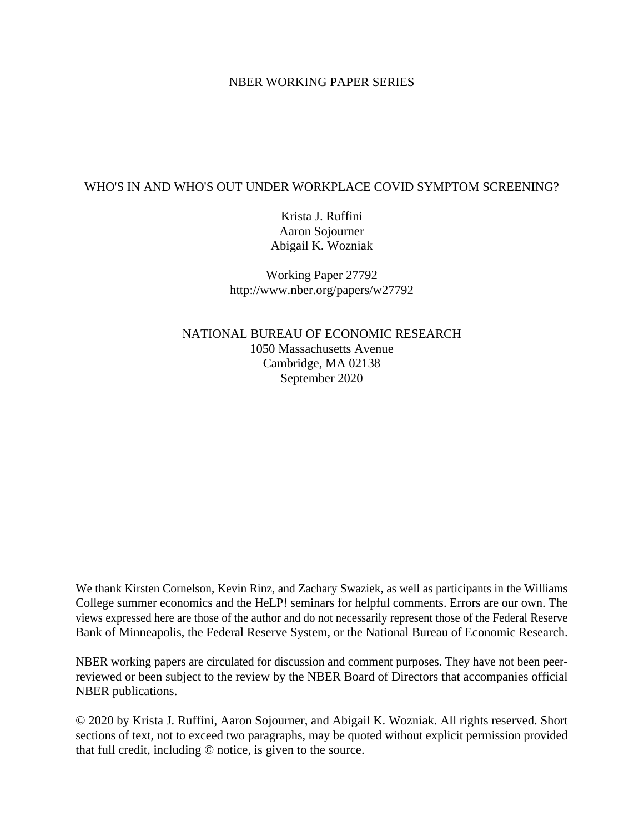### NBER WORKING PAPER SERIES

### WHO'S IN AND WHO'S OUT UNDER WORKPLACE COVID SYMPTOM SCREENING?

Krista J. Ruffini Aaron Sojourner Abigail K. Wozniak

Working Paper 27792 http://www.nber.org/papers/w27792

NATIONAL BUREAU OF ECONOMIC RESEARCH 1050 Massachusetts Avenue Cambridge, MA 02138 September 2020

We thank Kirsten Cornelson, Kevin Rinz, and Zachary Swaziek, as well as participants in the Williams College summer economics and the HeLP! seminars for helpful comments. Errors are our own. The views expressed here are those of the author and do not necessarily represent those of the Federal Reserve Bank of Minneapolis, the Federal Reserve System, or the National Bureau of Economic Research.

NBER working papers are circulated for discussion and comment purposes. They have not been peerreviewed or been subject to the review by the NBER Board of Directors that accompanies official NBER publications.

© 2020 by Krista J. Ruffini, Aaron Sojourner, and Abigail K. Wozniak. All rights reserved. Short sections of text, not to exceed two paragraphs, may be quoted without explicit permission provided that full credit, including © notice, is given to the source.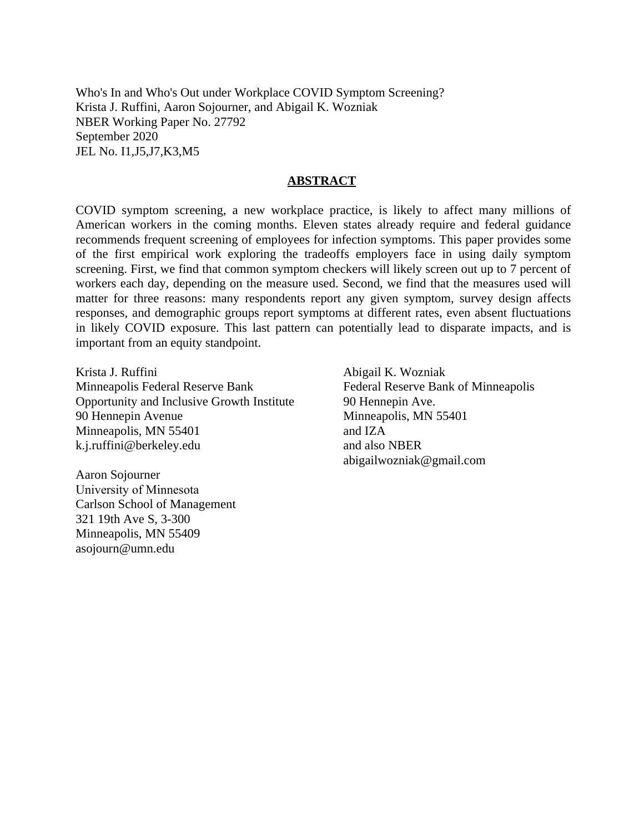Who's In and Who's Out under Workplace COVID Symptom Screening? Krista J. Ruffini, Aaron Sojourner, and Abigail K. Wozniak NBER Working Paper No. 27792 September 2020 JEL No. I1,J5,J7,K3,M5

#### **ABSTRACT**

COVID symptom screening, a new workplace practice, is likely to affect many millions of American workers in the coming months. Eleven states already require and federal guidance recommends frequent screening of employees for infection symptoms. This paper provides some of the first empirical work exploring the tradeoffs employers face in using daily symptom screening. First, we find that common symptom checkers will likely screen out up to 7 percent of workers each day, depending on the measure used. Second, we find that the measures used will matter for three reasons: many respondents report any given symptom, survey design affects responses, and demographic groups report symptoms at different rates, even absent fluctuations in likely COVID exposure. This last pattern can potentially lead to disparate impacts, and is important from an equity standpoint.

Krista J. Ruffini Minneapolis Federal Reserve Bank Opportunity and Inclusive Growth Institute 90 Hennepin Avenue Minneapolis, MN 55401 k.j.ruffini@berkeley.edu

Aaron Sojourner University of Minnesota Carlson School of Management 321 19th Ave S, 3-300 Minneapolis, MN 55409 asojourn@umn.edu

Abigail K. Wozniak Federal Reserve Bank of Minneapolis 90 Hennepin Ave. Minneapolis, MN 55401 and IZA and also NBER abigailwozniak@gmail.com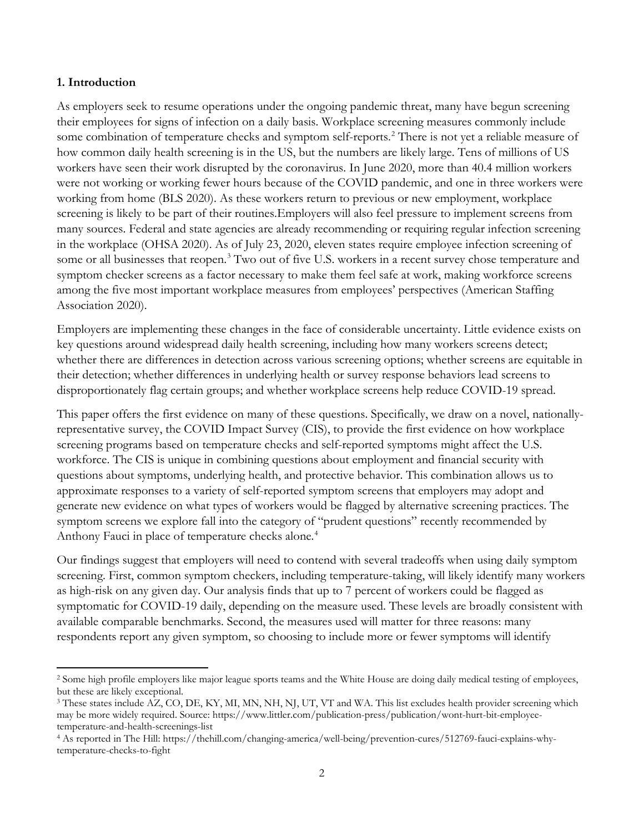#### **1. Introduction**

 $\overline{\phantom{a}}$ 

As employers seek to resume operations under the ongoing pandemic threat, many have begun screening their employees for signs of infection on a daily basis. Workplace screening measures commonly include some combination of temperature checks and symptom self-reports.<sup>[2](#page-2-0)</sup> There is not yet a reliable measure of how common daily health screening is in the US, but the numbers are likely large. Tens of millions of US workers have seen their work disrupted by the coronavirus. In June 2020, more than 40.4 million workers were not working or working fewer hours because of the COVID pandemic, and one in three workers were working from home (BLS 2020). As these workers return to previous or new employment, workplace screening is likely to be part of their routines.Employers will also feel pressure to implement screens from many sources. Federal and state agencies are already recommending or requiring regular infection screening in the workplace (OHSA 2020). As of July 23, 2020, eleven states require employee infection screening of some or all businesses that reopen.<sup>[3](#page-2-1)</sup> Two out of five U.S. workers in a recent survey chose temperature and symptom checker screens as a factor necessary to make them feel safe at work, making workforce screens among the five most important workplace measures from employees' perspectives (American Staffing Association 2020).

Employers are implementing these changes in the face of considerable uncertainty. Little evidence exists on key questions around widespread daily health screening, including how many workers screens detect; whether there are differences in detection across various screening options; whether screens are equitable in their detection; whether differences in underlying health or survey response behaviors lead screens to disproportionately flag certain groups; and whether workplace screens help reduce COVID-19 spread.

This paper offers the first evidence on many of these questions. Specifically, we draw on a novel, nationallyrepresentative survey, the COVID Impact Survey (CIS), to provide the first evidence on how workplace screening programs based on temperature checks and self-reported symptoms might affect the U.S. workforce. The CIS is unique in combining questions about employment and financial security with questions about symptoms, underlying health, and protective behavior. This combination allows us to approximate responses to a variety of self-reported symptom screens that employers may adopt and generate new evidence on what types of workers would be flagged by alternative screening practices. The symptom screens we explore fall into the category of "prudent questions" recently recommended by Anthony Fauci in place of temperature checks alone.<sup>[4](#page-2-2)</sup>

Our findings suggest that employers will need to contend with several tradeoffs when using daily symptom screening. First, common symptom checkers, including temperature-taking, will likely identify many workers as high-risk on any given day. Our analysis finds that up to 7 percent of workers could be flagged as symptomatic for COVID-19 daily, depending on the measure used. These levels are broadly consistent with available comparable benchmarks. Second, the measures used will matter for three reasons: many respondents report any given symptom, so choosing to include more or fewer symptoms will identify

<span id="page-2-0"></span><sup>&</sup>lt;sup>2</sup> Some high profile employers like major league sports teams and the White House are doing daily medical testing of employees, but these are likely exceptional.

<span id="page-2-1"></span><sup>&</sup>lt;sup>3</sup> These states include AZ, CO, DE, KY, MI, MN, NH, NJ, UT, VT and WA. This list excludes health provider screening which may be more widely required. Source: https://www.littler.com/publication-press/publication/wont-hurt-bit-employeetemperature-and-health-screenings-list

<span id="page-2-2"></span><sup>4</sup> As reported in The Hill: https://thehill.com/changing-america/well-being/prevention-cures/512769-fauci-explains-whytemperature-checks-to-fight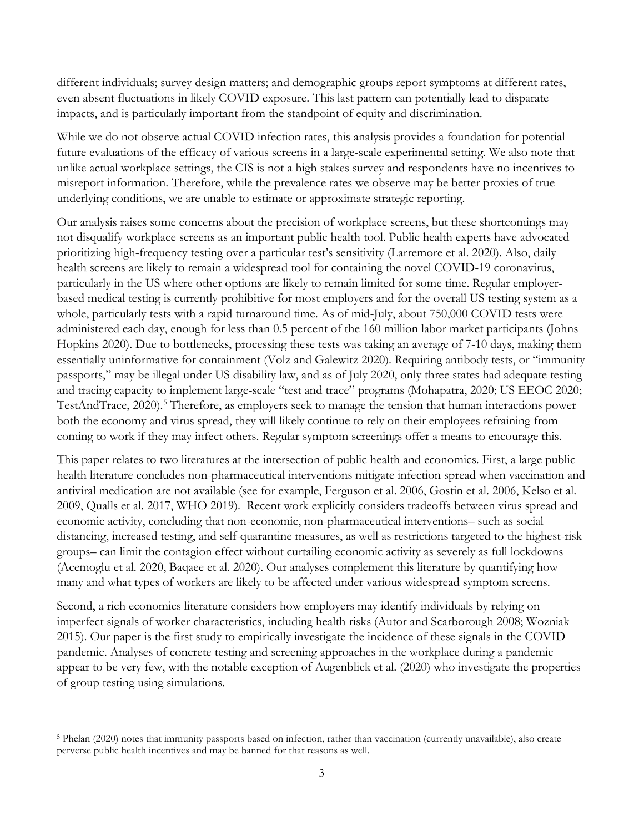different individuals; survey design matters; and demographic groups report symptoms at different rates, even absent fluctuations in likely COVID exposure. This last pattern can potentially lead to disparate impacts, and is particularly important from the standpoint of equity and discrimination.

While we do not observe actual COVID infection rates, this analysis provides a foundation for potential future evaluations of the efficacy of various screens in a large-scale experimental setting. We also note that unlike actual workplace settings, the CIS is not a high stakes survey and respondents have no incentives to misreport information. Therefore, while the prevalence rates we observe may be better proxies of true underlying conditions, we are unable to estimate or approximate strategic reporting.

Our analysis raises some concerns about the precision of workplace screens, but these shortcomings may not disqualify workplace screens as an important public health tool. Public health experts have advocated prioritizing high-frequency testing over a particular test's sensitivity (Larremore et al. 2020). Also, daily health screens are likely to remain a widespread tool for containing the novel COVID-19 coronavirus, particularly in the US where other options are likely to remain limited for some time. Regular employerbased medical testing is currently prohibitive for most employers and for the overall US testing system as a whole, particularly tests with a rapid turnaround time. As of mid-July, about 750,000 COVID tests were administered each day, enough for less than 0.5 percent of the 160 million labor market participants (Johns Hopkins 2020). Due to bottlenecks, processing these tests was taking an average of 7-10 days, making them essentially uninformative for containment (Volz and Galewitz 2020). Requiring antibody tests, or "immunity passports," may be illegal under US disability law, and as of July 2020, only three states had adequate testing and tracing capacity to implement large-scale "test and trace" programs (Mohapatra, 2020; US EEOC 2020; TestAndTrace, 2020). [5](#page-3-0) Therefore, as employers seek to manage the tension that human interactions power both the economy and virus spread, they will likely continue to rely on their employees refraining from coming to work if they may infect others. Regular symptom screenings offer a means to encourage this.

This paper relates to two literatures at the intersection of public health and economics. First, a large public health literature concludes non-pharmaceutical interventions mitigate infection spread when vaccination and antiviral medication are not available (see for example, Ferguson et al. 2006, Gostin et al. 2006, Kelso et al. 2009, Qualls et al. 2017, WHO 2019). Recent work explicitly considers tradeoffs between virus spread and economic activity, concluding that non-economic, non-pharmaceutical interventions– such as social distancing, increased testing, and self-quarantine measures, as well as restrictions targeted to the highest-risk groups– can limit the contagion effect without curtailing economic activity as severely as full lockdowns (Acemoglu et al. 2020, Baqaee et al. 2020). Our analyses complement this literature by quantifying how many and what types of workers are likely to be affected under various widespread symptom screens.

Second, a rich economics literature considers how employers may identify individuals by relying on imperfect signals of worker characteristics, including health risks (Autor and Scarborough 2008; Wozniak 2015). Our paper is the first study to empirically investigate the incidence of these signals in the COVID pandemic. Analyses of concrete testing and screening approaches in the workplace during a pandemic appear to be very few, with the notable exception of Augenblick et al. (2020) who investigate the properties of group testing using simulations.

<span id="page-3-0"></span> $\overline{\phantom{a}}$ <sup>5</sup> Phelan (2020) notes that immunity passports based on infection, rather than vaccination (currently unavailable), also create perverse public health incentives and may be banned for that reasons as well.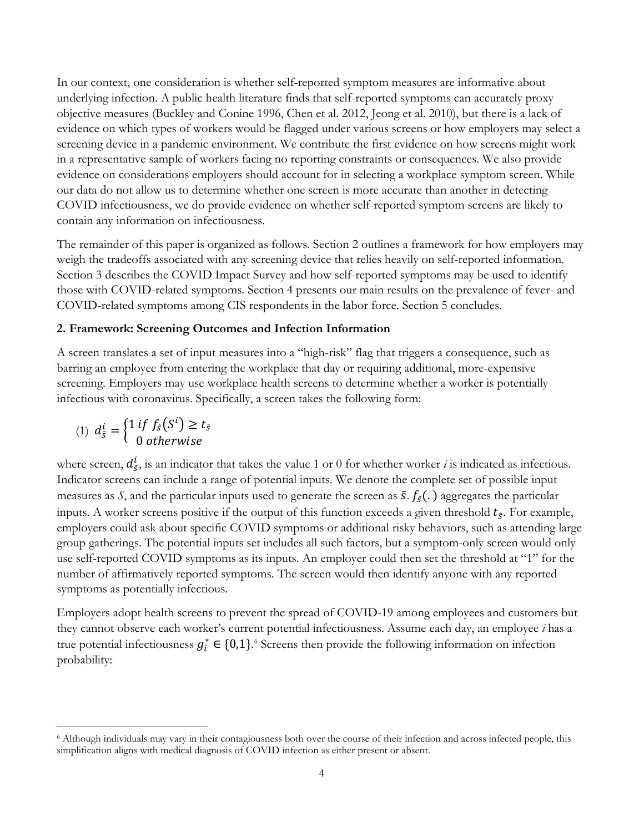In our context, one consideration is whether self-reported symptom measures are informative about underlying infection. A public health literature finds that self-reported symptoms can accurately proxy objective measures (Buckley and Conine 1996, Chen et al. 2012, Jeong et al. 2010), but there is a lack of evidence on which types of workers would be flagged under various screens or how employers may select a screening device in a pandemic environment. We contribute the first evidence on how screens might work in a representative sample of workers facing no reporting constraints or consequences. We also provide evidence on considerations employers should account for in selecting a workplace symptom screen. While our data do not allow us to determine whether one screen is more accurate than another in detecting COVID infectiousness, we do provide evidence on whether self-reported symptom screens are likely to contain any information on infectiousness.

The remainder of this paper is organized as follows. Section 2 outlines a framework for how employers may weigh the tradeoffs associated with any screening device that relies heavily on self-reported information. Section 3 describes the COVID Impact Survey and how self-reported symptoms may be used to identify those with COVID-related symptoms. Section 4 presents our main results on the prevalence of fever- and COVID-related symptoms among CIS respondents in the labor force. Section 5 concludes.

### **2. Framework: Screening Outcomes and Infection Information**

A screen translates a set of input measures into a "high-risk" flag that triggers a consequence, such as barring an employee from entering the workplace that day or requiring additional, more-expensive screening. Employers may use workplace health screens to determine whether a worker is potentially infectious with coronavirus. Specifically, a screen takes the following form:

$$
(1) dSi = \begin{cases} 1 if fS(Si) \ge tS \\ 0 otherwise \end{cases}
$$

 $\overline{\phantom{a}}$ 

where screen,  $d_{\tilde{s}}^l$ , is an indicator that takes the value 1 or 0 for whether worker *i* is indicated as infectious. Indicator screens can include a range of potential inputs. We denote the complete set of possible input measures as *S*, and the particular inputs used to generate the screen as  $\tilde{s}$ .  $f_{\tilde{s}}(.)$  aggregates the particular inputs. A worker screens positive if the output of this function exceeds a given threshold  $t_{\tilde{S}}$ . For example, employers could ask about specific COVID symptoms or additional risky behaviors, such as attending large group gatherings. The potential inputs set includes all such factors, but a symptom-only screen would only use self-reported COVID symptoms as its inputs. An employer could then set the threshold at "1" for the number of affirmatively reported symptoms. The screen would then identify anyone with any reported symptoms as potentially infectious.

Employers adopt health screens to prevent the spread of COVID-19 among employees and customers but they cannot observe each worker's current potential infectiousness. Assume each day, an employee *i* has a true potential infectiousness  $g_i^* \in \{0,1\}$ .<sup>[6](#page-4-0)</sup> Screens then provide the following information on infection probability:

<span id="page-4-0"></span><sup>6</sup> Although individuals may vary in their contagiousness both over the course of their infection and across infected people, this simplification aligns with medical diagnosis of COVID infection as either present or absent.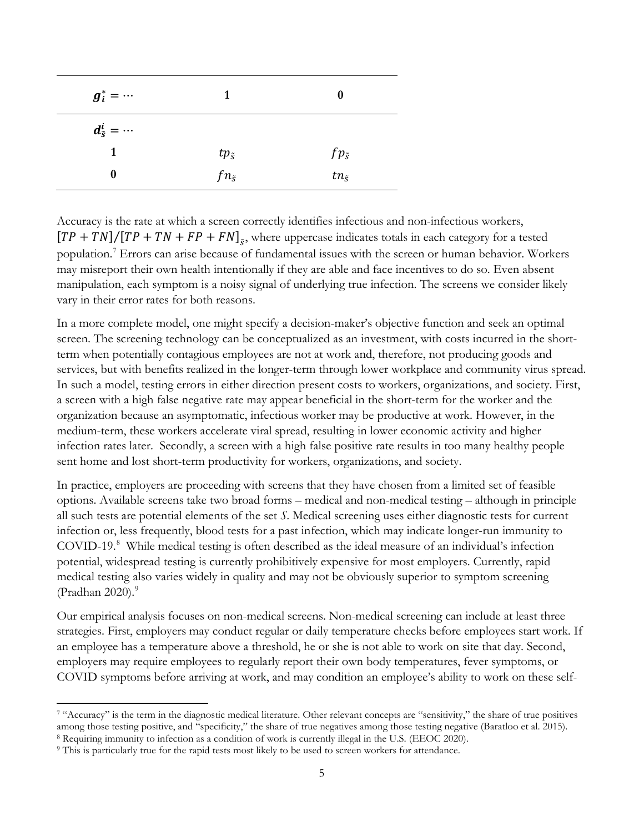| $g_i^* = \cdots$           | $\mathbf{1}$     | 0                |
|----------------------------|------------------|------------------|
| $d^i_{\tilde{s}} = \cdots$ |                  |                  |
| 1                          | $tp_{\tilde{S}}$ | $fp_{\tilde{s}}$ |
| 0                          | $fn_{\tilde{S}}$ | $tn_{\tilde{S}}$ |

Accuracy is the rate at which a screen correctly identifies infectious and non-infectious workers,  $[TP + TN]/[TP + TN + FP + FN]_{\tilde{s}}$ , where uppercase indicates totals in each category for a tested population.[7](#page-5-0) Errors can arise because of fundamental issues with the screen or human behavior. Workers may misreport their own health intentionally if they are able and face incentives to do so. Even absent manipulation, each symptom is a noisy signal of underlying true infection. The screens we consider likely vary in their error rates for both reasons.

In a more complete model, one might specify a decision-maker's objective function and seek an optimal screen. The screening technology can be conceptualized as an investment, with costs incurred in the shortterm when potentially contagious employees are not at work and, therefore, not producing goods and services, but with benefits realized in the longer-term through lower workplace and community virus spread. In such a model, testing errors in either direction present costs to workers, organizations, and society. First, a screen with a high false negative rate may appear beneficial in the short-term for the worker and the organization because an asymptomatic, infectious worker may be productive at work. However, in the medium-term, these workers accelerate viral spread, resulting in lower economic activity and higher infection rates later. Secondly, a screen with a high false positive rate results in too many healthy people sent home and lost short-term productivity for workers, organizations, and society.

In practice, employers are proceeding with screens that they have chosen from a limited set of feasible options. Available screens take two broad forms – medical and non-medical testing – although in principle all such tests are potential elements of the set *S*. Medical screening uses either diagnostic tests for current infection or, less frequently, blood tests for a past infection, which may indicate longer-run immunity to COVID-19.[8](#page-5-1) While medical testing is often described as the ideal measure of an individual's infection potential, widespread testing is currently prohibitively expensive for most employers. Currently, rapid medical testing also varies widely in quality and may not be obviously superior to symptom screening (Pradhan 2020). $^9$  $^9$ 

Our empirical analysis focuses on non-medical screens. Non-medical screening can include at least three strategies. First, employers may conduct regular or daily temperature checks before employees start work. If an employee has a temperature above a threshold, he or she is not able to work on site that day. Second, employers may require employees to regularly report their own body temperatures, fever symptoms, or COVID symptoms before arriving at work, and may condition an employee's ability to work on these self-

 $\overline{\phantom{a}}$ 

<span id="page-5-0"></span><sup>&</sup>lt;sup>7</sup> "Accuracy" is the term in the diagnostic medical literature. Other relevant concepts are "sensitivity," the share of true positives among those testing positive, and "specificity," the share of true negatives among those testing negative (Baratloo et al. 2015). <sup>8</sup> Requiring immunity to infection as a condition of work is currently illegal in the U.S. (EEOC 2020).

<span id="page-5-2"></span><span id="page-5-1"></span><sup>9</sup> This is particularly true for the rapid tests most likely to be used to screen workers for attendance.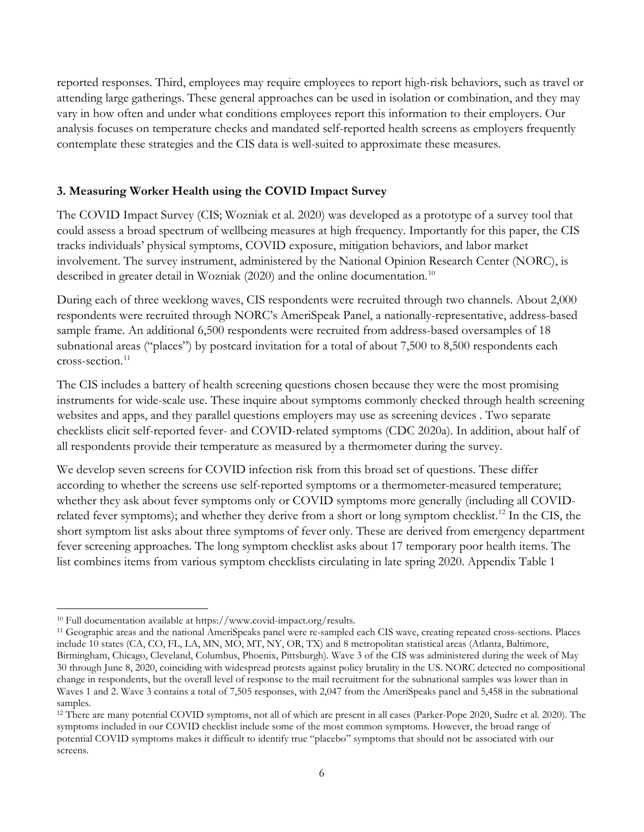reported responses. Third, employees may require employees to report high-risk behaviors, such as travel or attending large gatherings. These general approaches can be used in isolation or combination, and they may vary in how often and under what conditions employees report this information to their employers. Our analysis focuses on temperature checks and mandated self-reported health screens as employers frequently contemplate these strategies and the CIS data is well-suited to approximate these measures.

# **3. Measuring Worker Health using the COVID Impact Survey**

The COVID Impact Survey (CIS; Wozniak et al. 2020) was developed as a prototype of a survey tool that could assess a broad spectrum of wellbeing measures at high frequency. Importantly for this paper, the CIS tracks individuals' physical symptoms, COVID exposure, mitigation behaviors, and labor market involvement. The survey instrument, administered by the National Opinion Research Center (NORC), is described in greater detail in Wozniak (2020) and the online documentation.<sup>10</sup>

During each of three weeklong waves, CIS respondents were recruited through two channels. About 2,000 respondents were recruited through NORC's AmeriSpeak Panel, a nationally-representative, address-based sample frame. An additional 6,500 respondents were recruited from address-based oversamples of 18 subnational areas ("places") by postcard invitation for a total of about 7,500 to 8,500 respondents each cross-section. [11](#page-6-1)

The CIS includes a battery of health screening questions chosen because they were the most promising instruments for wide-scale use. These inquire about symptoms commonly checked through health screening websites and apps, and they parallel questions employers may use as screening devices . Two separate checklists elicit self-reported fever- and COVID-related symptoms (CDC 2020a). In addition, about half of all respondents provide their temperature as measured by a thermometer during the survey.

We develop seven screens for COVID infection risk from this broad set of questions. These differ according to whether the screens use self-reported symptoms or a thermometer-measured temperature; whether they ask about fever symptoms only or COVID symptoms more generally (including all COVIDrelated fever symptoms); and whether they derive from a short or long symptom checklist.<sup>12</sup> In the CIS, the short symptom list asks about three symptoms of fever only. These are derived from emergency department fever screening approaches. The long symptom checklist asks about 17 temporary poor health items. The list combines items from various symptom checklists circulating in late spring 2020. Appendix Table 1

<span id="page-6-0"></span> $\overline{\phantom{a}}$ <sup>10</sup> Full documentation available at https://www.covid-impact.org/results.

<span id="page-6-1"></span><sup>11</sup> Geographic areas and the national AmeriSpeaks panel were re-sampled each CIS wave, creating repeated cross-sections. Places include 10 states (CA, CO, FL, LA, MN, MO, MT, NY, OR, TX) and 8 metropolitan statistical areas (Atlanta, Baltimore, Birmingham, Chicago, Cleveland, Columbus, Phoenix, Pittsburgh). Wave 3 of the CIS was administered during the week of May 30 through June 8, 2020, coinciding with widespread protests against policy brutality in the US. NORC detected no compositional change in respondents, but the overall level of response to the mail recruitment for the subnational samples was lower than in Waves 1 and 2. Wave 3 contains a total of 7,505 responses, with 2,047 from the AmeriSpeaks panel and 5,458 in the subnational samples.

<span id="page-6-2"></span><sup>12</sup> There are many potential COVID symptoms, not all of which are present in all cases (Parker-Pope 2020, Sudre et al. 2020). The symptoms included in our COVID checklist include some of the most common symptoms. However, the broad range of potential COVID symptoms makes it difficult to identify true "placebo" symptoms that should not be associated with our screens.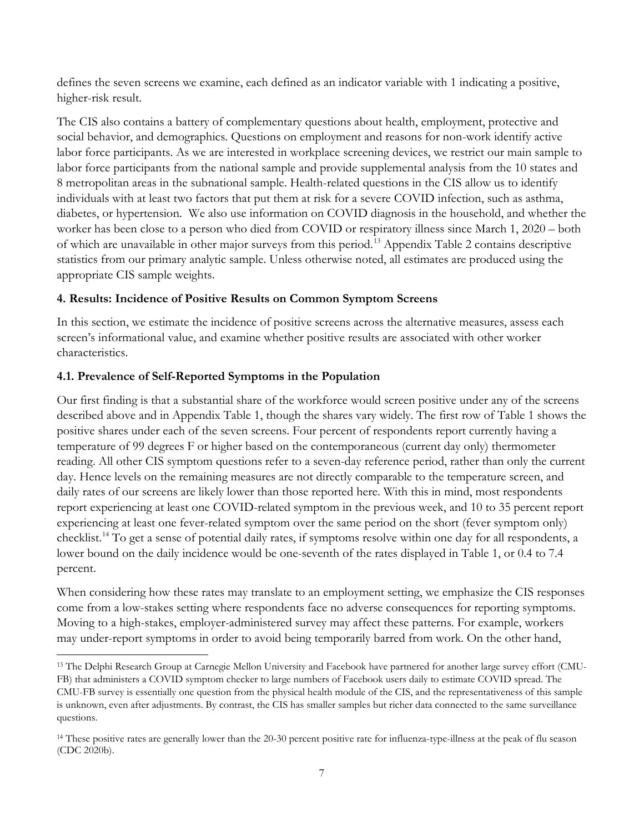defines the seven screens we examine, each defined as an indicator variable with 1 indicating a positive, higher-risk result.

The CIS also contains a battery of complementary questions about health, employment, protective and social behavior, and demographics. Questions on employment and reasons for non-work identify active labor force participants. As we are interested in workplace screening devices, we restrict our main sample to labor force participants from the national sample and provide supplemental analysis from the 10 states and 8 metropolitan areas in the subnational sample. Health-related questions in the CIS allow us to identify individuals with at least two factors that put them at risk for a severe COVID infection, such as asthma, diabetes, or hypertension. We also use information on COVID diagnosis in the household, and whether the worker has been close to a person who died from COVID or respiratory illness since March 1, 2020 – both of which are unavailable in other major surveys from this period.[13](#page-7-0) Appendix Table 2 contains descriptive statistics from our primary analytic sample. Unless otherwise noted, all estimates are produced using the appropriate CIS sample weights.

# **4. Results: Incidence of Positive Results on Common Symptom Screens**

In this section, we estimate the incidence of positive screens across the alternative measures, assess each screen's informational value, and examine whether positive results are associated with other worker characteristics.

# **4.1. Prevalence of Self-Reported Symptoms in the Population**

l

Our first finding is that a substantial share of the workforce would screen positive under any of the screens described above and in Appendix Table 1, though the shares vary widely. The first row of Table 1 shows the positive shares under each of the seven screens. Four percent of respondents report currently having a temperature of 99 degrees F or higher based on the contemporaneous (current day only) thermometer reading. All other CIS symptom questions refer to a seven-day reference period, rather than only the current day. Hence levels on the remaining measures are not directly comparable to the temperature screen, and daily rates of our screens are likely lower than those reported here. With this in mind, most respondents report experiencing at least one COVID-related symptom in the previous week, and 10 to 35 percent report experiencing at least one fever-related symptom over the same period on the short (fever symptom only) checklist. [14](#page-7-1) To get a sense of potential daily rates, if symptoms resolve within one day for all respondents, a lower bound on the daily incidence would be one-seventh of the rates displayed in Table 1, or 0.4 to 7.4 percent.

When considering how these rates may translate to an employment setting, we emphasize the CIS responses come from a low-stakes setting where respondents face no adverse consequences for reporting symptoms. Moving to a high-stakes, employer-administered survey may affect these patterns. For example, workers may under-report symptoms in order to avoid being temporarily barred from work. On the other hand,

<span id="page-7-0"></span><sup>&</sup>lt;sup>13</sup> The Delphi Research Group at Carnegie Mellon University and Facebook have partnered for another large survey effort (CMU-FB) that administers a COVID symptom checker to large numbers of Facebook users daily to estimate COVID spread. The CMU-FB survey is essentially one question from the physical health module of the CIS, and the representativeness of this sample is unknown, even after adjustments. By contrast, the CIS has smaller samples but richer data connected to the same surveillance questions.

<span id="page-7-1"></span><sup>&</sup>lt;sup>14</sup> These positive rates are generally lower than the 20-30 percent positive rate for influenza-type-illness at the peak of flu season (CDC 2020b).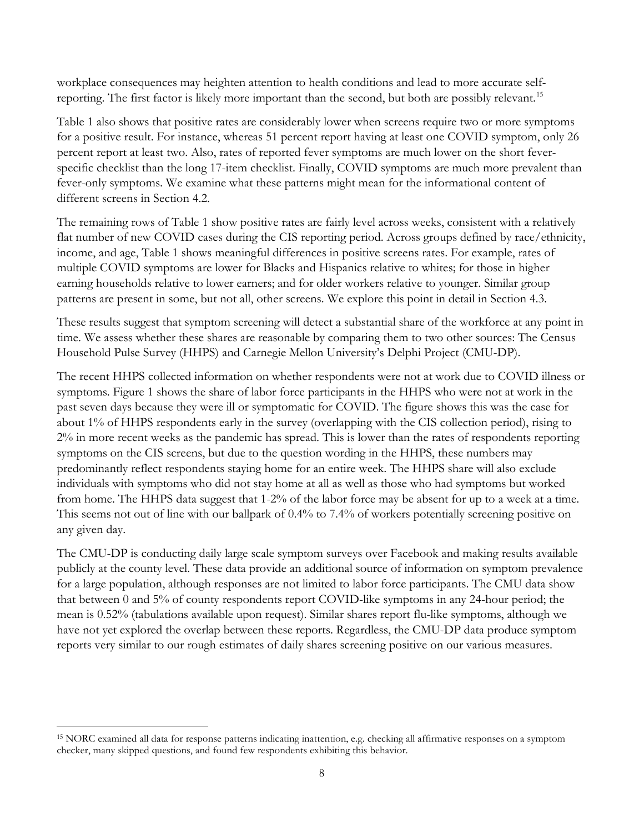workplace consequences may heighten attention to health conditions and lead to more accurate self-reporting. The first factor is likely more important than the second, but both are possibly relevant.<sup>[15](#page-8-0)</sup>

Table 1 also shows that positive rates are considerably lower when screens require two or more symptoms for a positive result. For instance, whereas 51 percent report having at least one COVID symptom, only 26 percent report at least two. Also, rates of reported fever symptoms are much lower on the short feverspecific checklist than the long 17-item checklist. Finally, COVID symptoms are much more prevalent than fever-only symptoms. We examine what these patterns might mean for the informational content of different screens in Section 4.2.

The remaining rows of Table 1 show positive rates are fairly level across weeks, consistent with a relatively flat number of new COVID cases during the CIS reporting period. Across groups defined by race/ethnicity, income, and age, Table 1 shows meaningful differences in positive screens rates. For example, rates of multiple COVID symptoms are lower for Blacks and Hispanics relative to whites; for those in higher earning households relative to lower earners; and for older workers relative to younger. Similar group patterns are present in some, but not all, other screens. We explore this point in detail in Section 4.3.

These results suggest that symptom screening will detect a substantial share of the workforce at any point in time. We assess whether these shares are reasonable by comparing them to two other sources: The Census Household Pulse Survey (HHPS) and Carnegie Mellon University's Delphi Project (CMU-DP).

The recent HHPS collected information on whether respondents were not at work due to COVID illness or symptoms. Figure 1 shows the share of labor force participants in the HHPS who were not at work in the past seven days because they were ill or symptomatic for COVID. The figure shows this was the case for about 1% of HHPS respondents early in the survey (overlapping with the CIS collection period), rising to 2% in more recent weeks as the pandemic has spread. This is lower than the rates of respondents reporting symptoms on the CIS screens, but due to the question wording in the HHPS, these numbers may predominantly reflect respondents staying home for an entire week. The HHPS share will also exclude individuals with symptoms who did not stay home at all as well as those who had symptoms but worked from home. The HHPS data suggest that 1-2% of the labor force may be absent for up to a week at a time. This seems not out of line with our ballpark of 0.4% to 7.4% of workers potentially screening positive on any given day.

The CMU-DP is conducting daily large scale symptom surveys over Facebook and making results available publicly at the county level. These data provide an additional source of information on symptom prevalence for a large population, although responses are not limited to labor force participants. The CMU data show that between 0 and 5% of county respondents report COVID-like symptoms in any 24-hour period; the mean is 0.52% (tabulations available upon request). Similar shares report flu-like symptoms, although we have not yet explored the overlap between these reports. Regardless, the CMU-DP data produce symptom reports very similar to our rough estimates of daily shares screening positive on our various measures.

<span id="page-8-0"></span> $\overline{\phantom{a}}$ <sup>15</sup> NORC examined all data for response patterns indicating inattention, e.g. checking all affirmative responses on a symptom checker, many skipped questions, and found few respondents exhibiting this behavior.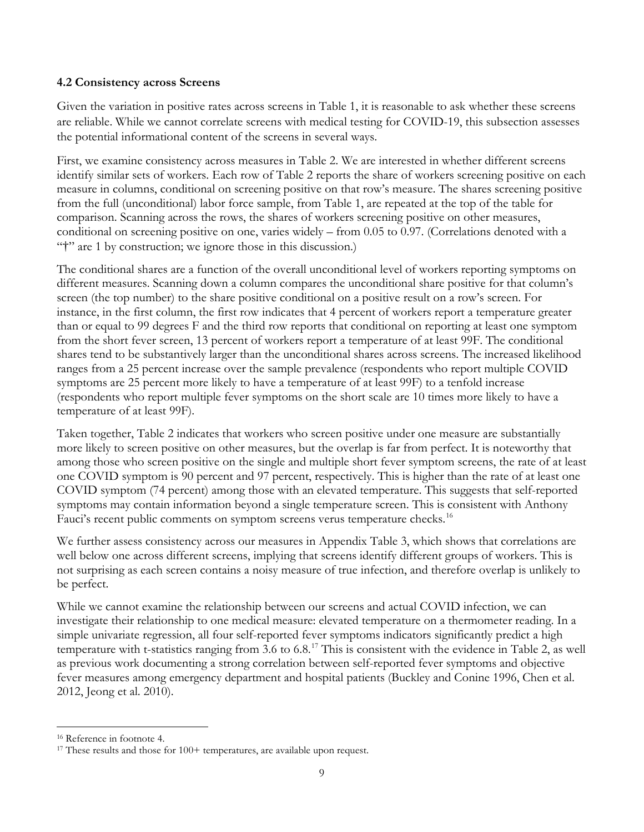### **4.2 Consistency across Screens**

Given the variation in positive rates across screens in Table 1, it is reasonable to ask whether these screens are reliable. While we cannot correlate screens with medical testing for COVID-19, this subsection assesses the potential informational content of the screens in several ways.

First, we examine consistency across measures in Table 2. We are interested in whether different screens identify similar sets of workers. Each row of Table 2 reports the share of workers screening positive on each measure in columns, conditional on screening positive on that row's measure. The shares screening positive from the full (unconditional) labor force sample, from Table 1, are repeated at the top of the table for comparison. Scanning across the rows, the shares of workers screening positive on other measures, conditional on screening positive on one, varies widely – from 0.05 to 0.97. (Correlations denoted with a "†" are 1 by construction; we ignore those in this discussion.)

The conditional shares are a function of the overall unconditional level of workers reporting symptoms on different measures. Scanning down a column compares the unconditional share positive for that column's screen (the top number) to the share positive conditional on a positive result on a row's screen. For instance, in the first column, the first row indicates that 4 percent of workers report a temperature greater than or equal to 99 degrees F and the third row reports that conditional on reporting at least one symptom from the short fever screen, 13 percent of workers report a temperature of at least 99F. The conditional shares tend to be substantively larger than the unconditional shares across screens. The increased likelihood ranges from a 25 percent increase over the sample prevalence (respondents who report multiple COVID symptoms are 25 percent more likely to have a temperature of at least 99F) to a tenfold increase (respondents who report multiple fever symptoms on the short scale are 10 times more likely to have a temperature of at least 99F).

Taken together, Table 2 indicates that workers who screen positive under one measure are substantially more likely to screen positive on other measures, but the overlap is far from perfect. It is noteworthy that among those who screen positive on the single and multiple short fever symptom screens, the rate of at least one COVID symptom is 90 percent and 97 percent, respectively. This is higher than the rate of at least one COVID symptom (74 percent) among those with an elevated temperature. This suggests that self-reported symptoms may contain information beyond a single temperature screen. This is consistent with Anthony Fauci's recent public comments on symptom screens verus temperature checks.<sup>[16](#page-9-0)</sup>

We further assess consistency across our measures in Appendix Table 3, which shows that correlations are well below one across different screens, implying that screens identify different groups of workers. This is not surprising as each screen contains a noisy measure of true infection, and therefore overlap is unlikely to be perfect.

While we cannot examine the relationship between our screens and actual COVID infection, we can investigate their relationship to one medical measure: elevated temperature on a thermometer reading. In a simple univariate regression, all four self-reported fever symptoms indicators significantly predict a high temperature with t-statistics ranging from 3.6 to 6.8.<sup>[17](#page-9-1)</sup> This is consistent with the evidence in Table 2, as well as previous work documenting a strong correlation between self-reported fever symptoms and objective fever measures among emergency department and hospital patients (Buckley and Conine 1996, Chen et al. 2012, Jeong et al. 2010).

 $\overline{\phantom{a}}$ 

<span id="page-9-1"></span><span id="page-9-0"></span><sup>&</sup>lt;sup>16</sup> Reference in footnote 4.<br><sup>17</sup> These results and those for 100+ temperatures, are available upon request.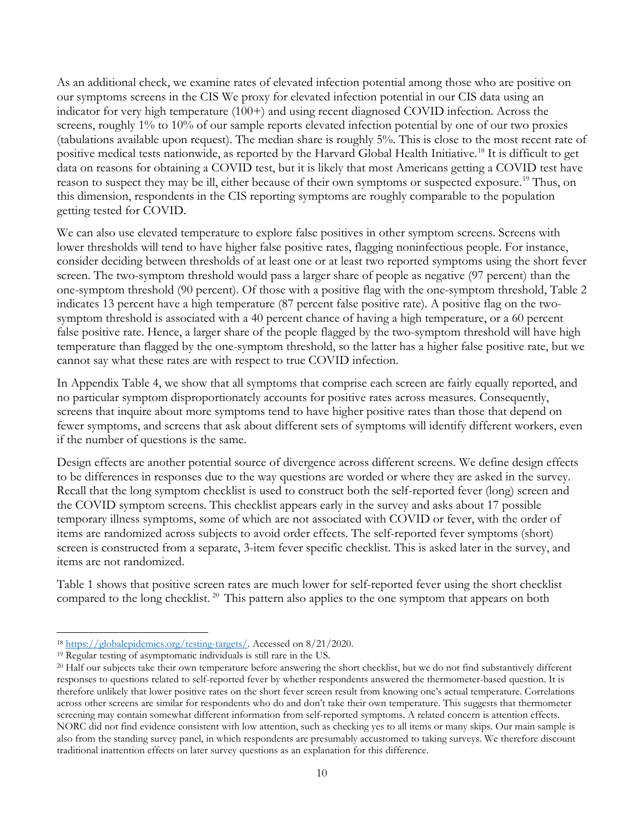As an additional check, we examine rates of elevated infection potential among those who are positive on our symptoms screens in the CIS We proxy for elevated infection potential in our CIS data using an indicator for very high temperature (100+) and using recent diagnosed COVID infection. Across the screens, roughly 1% to 10% of our sample reports elevated infection potential by one of our two proxies (tabulations available upon request). The median share is roughly 5%. This is close to the most recent rate of positive medical tests nationwide, as reported by the Harvard Global Health Initiative.[18](#page-10-0) It is difficult to get data on reasons for obtaining a COVID test, but it is likely that most Americans getting a COVID test have reason to suspect they may be ill, either because of their own symptoms or suspected exposure.[19](#page-10-1) Thus, on this dimension, respondents in the CIS reporting symptoms are roughly comparable to the population getting tested for COVID.

We can also use elevated temperature to explore false positives in other symptom screens. Screens with lower thresholds will tend to have higher false positive rates, flagging noninfectious people. For instance, consider deciding between thresholds of at least one or at least two reported symptoms using the short fever screen. The two-symptom threshold would pass a larger share of people as negative (97 percent) than the one-symptom threshold (90 percent). Of those with a positive flag with the one-symptom threshold, Table 2 indicates 13 percent have a high temperature (87 percent false positive rate). A positive flag on the twosymptom threshold is associated with a 40 percent chance of having a high temperature, or a 60 percent false positive rate. Hence, a larger share of the people flagged by the two-symptom threshold will have high temperature than flagged by the one-symptom threshold, so the latter has a higher false positive rate, but we cannot say what these rates are with respect to true COVID infection.

In Appendix Table 4, we show that all symptoms that comprise each screen are fairly equally reported, and no particular symptom disproportionately accounts for positive rates across measures. Consequently, screens that inquire about more symptoms tend to have higher positive rates than those that depend on fewer symptoms, and screens that ask about different sets of symptoms will identify different workers, even if the number of questions is the same.

Design effects are another potential source of divergence across different screens. We define design effects to be differences in responses due to the way questions are worded or where they are asked in the survey. Recall that the long symptom checklist is used to construct both the self-reported fever (long) screen and the COVID symptom screens. This checklist appears early in the survey and asks about 17 possible temporary illness symptoms, some of which are not associated with COVID or fever, with the order of items are randomized across subjects to avoid order effects. The self-reported fever symptoms (short) screen is constructed from a separate, 3-item fever specific checklist. This is asked later in the survey, and items are not randomized.

Table 1 shows that positive screen rates are much lower for self-reported fever using the short checklist compared to the long checklist.<sup>[20](#page-10-2)</sup> This pattern also applies to the one symptom that appears on both

<span id="page-10-0"></span> $\overline{\phantom{a}}$ <sup>18</sup> [https://globalepidemics.org/testing-targets/.](https://globalepidemics.org/testing-targets/) Accessed on 8/21/2020.

<span id="page-10-1"></span><sup>19</sup> Regular testing of asymptomatic individuals is still rare in the US.

<span id="page-10-2"></span><sup>&</sup>lt;sup>20</sup> Half our subjects take their own temperature before answering the short checklist, but we do not find substantively different responses to questions related to self-reported fever by whether respondents answered the thermometer-based question. It is therefore unlikely that lower positive rates on the short fever screen result from knowing one's actual temperature. Correlations across other screens are similar for respondents who do and don't take their own temperature. This suggests that thermometer screening may contain somewhat different information from self-reported symptoms. A related concern is attention effects. NORC did not find evidence consistent with low attention, such as checking yes to all items or many skips. Our main sample is also from the standing survey panel, in which respondents are presumably accustomed to taking surveys. We therefore discount traditional inattention effects on later survey questions as an explanation for this difference.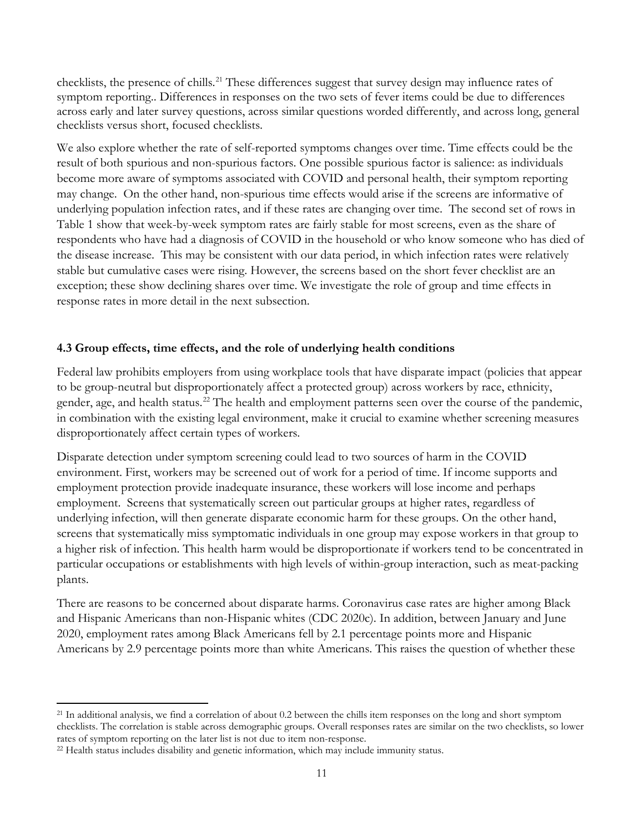checklists, the presence of chills.<sup>[21](#page-11-0)</sup> These differences suggest that survey design may influence rates of symptom reporting.. Differences in responses on the two sets of fever items could be due to differences across early and later survey questions, across similar questions worded differently, and across long, general checklists versus short, focused checklists.

We also explore whether the rate of self-reported symptoms changes over time. Time effects could be the result of both spurious and non-spurious factors. One possible spurious factor is salience: as individuals become more aware of symptoms associated with COVID and personal health, their symptom reporting may change. On the other hand, non-spurious time effects would arise if the screens are informative of underlying population infection rates, and if these rates are changing over time. The second set of rows in Table 1 show that week-by-week symptom rates are fairly stable for most screens, even as the share of respondents who have had a diagnosis of COVID in the household or who know someone who has died of the disease increase. This may be consistent with our data period, in which infection rates were relatively stable but cumulative cases were rising. However, the screens based on the short fever checklist are an exception; these show declining shares over time. We investigate the role of group and time effects in response rates in more detail in the next subsection.

# **4.3 Group effects, time effects, and the role of underlying health conditions**

Federal law prohibits employers from using workplace tools that have disparate impact (policies that appear to be group-neutral but disproportionately affect a protected group) across workers by race, ethnicity, gender, age, and health status.<sup>22</sup> The health and employment patterns seen over the course of the pandemic, in combination with the existing legal environment, make it crucial to examine whether screening measures disproportionately affect certain types of workers.

Disparate detection under symptom screening could lead to two sources of harm in the COVID environment. First, workers may be screened out of work for a period of time. If income supports and employment protection provide inadequate insurance, these workers will lose income and perhaps employment. Screens that systematically screen out particular groups at higher rates, regardless of underlying infection, will then generate disparate economic harm for these groups. On the other hand, screens that systematically miss symptomatic individuals in one group may expose workers in that group to a higher risk of infection. This health harm would be disproportionate if workers tend to be concentrated in particular occupations or establishments with high levels of within-group interaction, such as meat-packing plants.

There are reasons to be concerned about disparate harms. Coronavirus case rates are higher among Black and Hispanic Americans than non-Hispanic whites (CDC 2020c). In addition, between January and June 2020, employment rates among Black Americans fell by 2.1 percentage points more and Hispanic Americans by 2.9 percentage points more than white Americans. This raises the question of whether these

<span id="page-11-0"></span> $\overline{\phantom{a}}$ <sup>21</sup> In additional analysis, we find a correlation of about 0.2 between the chills item responses on the long and short symptom checklists. The correlation is stable across demographic groups. Overall responses rates are similar on the two checklists, so lower rates of symptom reporting on the later list is not due to item non-response.<br><sup>22</sup> Health status includes disability and genetic information, which may include immunity status.

<span id="page-11-1"></span>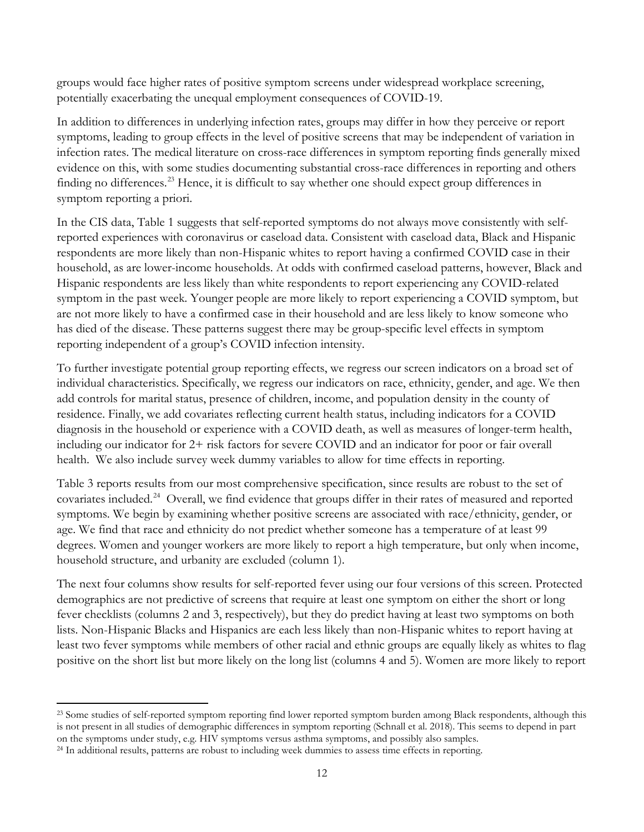groups would face higher rates of positive symptom screens under widespread workplace screening, potentially exacerbating the unequal employment consequences of COVID-19.

In addition to differences in underlying infection rates, groups may differ in how they perceive or report symptoms, leading to group effects in the level of positive screens that may be independent of variation in infection rates. The medical literature on cross-race differences in symptom reporting finds generally mixed evidence on this, with some studies documenting substantial cross-race differences in reporting and others finding no differences.<sup>23</sup> Hence, it is difficult to say whether one should expect group differences in symptom reporting a priori.

In the CIS data, Table 1 suggests that self-reported symptoms do not always move consistently with selfreported experiences with coronavirus or caseload data. Consistent with caseload data, Black and Hispanic respondents are more likely than non-Hispanic whites to report having a confirmed COVID case in their household, as are lower-income households. At odds with confirmed caseload patterns, however, Black and Hispanic respondents are less likely than white respondents to report experiencing any COVID-related symptom in the past week. Younger people are more likely to report experiencing a COVID symptom, but are not more likely to have a confirmed case in their household and are less likely to know someone who has died of the disease. These patterns suggest there may be group-specific level effects in symptom reporting independent of a group's COVID infection intensity.

To further investigate potential group reporting effects, we regress our screen indicators on a broad set of individual characteristics. Specifically, we regress our indicators on race, ethnicity, gender, and age. We then add controls for marital status, presence of children, income, and population density in the county of residence. Finally, we add covariates reflecting current health status, including indicators for a COVID diagnosis in the household or experience with a COVID death, as well as measures of longer-term health, including our indicator for 2+ risk factors for severe COVID and an indicator for poor or fair overall health. We also include survey week dummy variables to allow for time effects in reporting.

Table 3 reports results from our most comprehensive specification, since results are robust to the set of covariates included. [24](#page-12-1) Overall, we find evidence that groups differ in their rates of measured and reported symptoms. We begin by examining whether positive screens are associated with race/ethnicity, gender, or age. We find that race and ethnicity do not predict whether someone has a temperature of at least 99 degrees. Women and younger workers are more likely to report a high temperature, but only when income, household structure, and urbanity are excluded (column 1).

The next four columns show results for self-reported fever using our four versions of this screen. Protected demographics are not predictive of screens that require at least one symptom on either the short or long fever checklists (columns 2 and 3, respectively), but they do predict having at least two symptoms on both lists. Non-Hispanic Blacks and Hispanics are each less likely than non-Hispanic whites to report having at least two fever symptoms while members of other racial and ethnic groups are equally likely as whites to flag positive on the short list but more likely on the long list (columns 4 and 5). Women are more likely to report

 $\overline{\phantom{a}}$ 

<span id="page-12-0"></span><sup>&</sup>lt;sup>23</sup> Some studies of self-reported symptom reporting find lower reported symptom burden among Black respondents, although this is not present in all studies of demographic differences in symptom reporting (Schnall et al. 2018). This seems to depend in part on the symptoms under study, e.g. HIV symptoms versus asthma symptoms, and possibly also samples.

<span id="page-12-1"></span><sup>24</sup> In additional results, patterns are robust to including week dummies to assess time effects in reporting.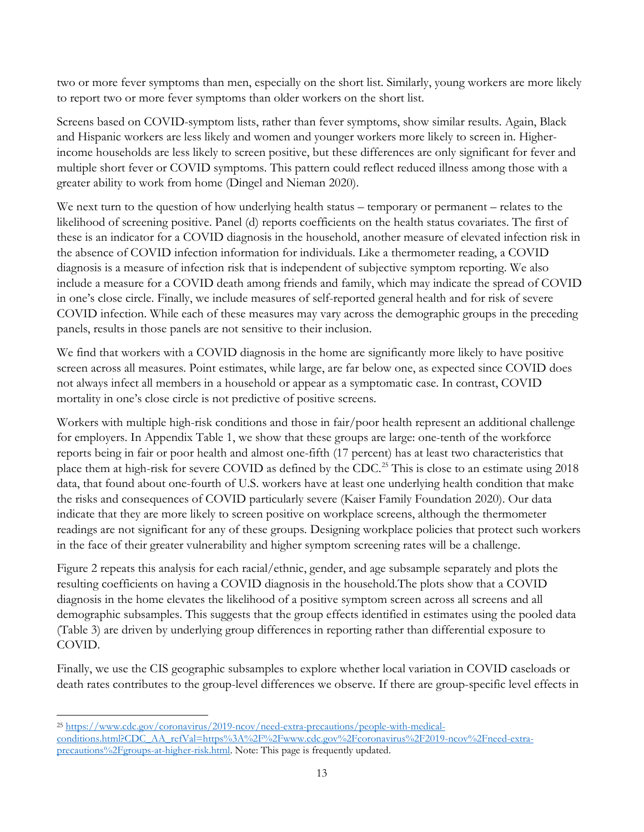two or more fever symptoms than men, especially on the short list. Similarly, young workers are more likely to report two or more fever symptoms than older workers on the short list.

Screens based on COVID-symptom lists, rather than fever symptoms, show similar results. Again, Black and Hispanic workers are less likely and women and younger workers more likely to screen in. Higherincome households are less likely to screen positive, but these differences are only significant for fever and multiple short fever or COVID symptoms. This pattern could reflect reduced illness among those with a greater ability to work from home (Dingel and Nieman 2020).

We next turn to the question of how underlying health status – temporary or permanent – relates to the likelihood of screening positive. Panel (d) reports coefficients on the health status covariates. The first of these is an indicator for a COVID diagnosis in the household, another measure of elevated infection risk in the absence of COVID infection information for individuals. Like a thermometer reading, a COVID diagnosis is a measure of infection risk that is independent of subjective symptom reporting. We also include a measure for a COVID death among friends and family, which may indicate the spread of COVID in one's close circle. Finally, we include measures of self-reported general health and for risk of severe COVID infection. While each of these measures may vary across the demographic groups in the preceding panels, results in those panels are not sensitive to their inclusion.

We find that workers with a COVID diagnosis in the home are significantly more likely to have positive screen across all measures. Point estimates, while large, are far below one, as expected since COVID does not always infect all members in a household or appear as a symptomatic case. In contrast, COVID mortality in one's close circle is not predictive of positive screens.

Workers with multiple high-risk conditions and those in fair/poor health represent an additional challenge for employers. In Appendix Table 1, we show that these groups are large: one-tenth of the workforce reports being in fair or poor health and almost one-fifth (17 percent) has at least two characteristics that place them at high-risk for severe COVID as defined by the CDC.<sup>[25](#page-13-0)</sup> This is close to an estimate using 2018 data, that found about one-fourth of U.S. workers have at least one underlying health condition that make the risks and consequences of COVID particularly severe (Kaiser Family Foundation 2020). Our data indicate that they are more likely to screen positive on workplace screens, although the thermometer readings are not significant for any of these groups. Designing workplace policies that protect such workers in the face of their greater vulnerability and higher symptom screening rates will be a challenge.

Figure 2 repeats this analysis for each racial/ethnic, gender, and age subsample separately and plots the resulting coefficients on having a COVID diagnosis in the household.The plots show that a COVID diagnosis in the home elevates the likelihood of a positive symptom screen across all screens and all demographic subsamples. This suggests that the group effects identified in estimates using the pooled data (Table 3) are driven by underlying group differences in reporting rather than differential exposure to COVID.

Finally, we use the CIS geographic subsamples to explore whether local variation in COVID caseloads or death rates contributes to the group-level differences we observe. If there are group-specific level effects in

 $\overline{\phantom{a}}$ 

<span id="page-13-0"></span><sup>25</sup> [https://www.cdc.gov/coronavirus/2019-ncov/need-extra-precautions/people-with-medical](https://www.cdc.gov/coronavirus/2019-ncov/need-extra-precautions/people-with-medical-conditions.html?CDC_AA_refVal=https%3A%2F%2Fwww.cdc.gov%2Fcoronavirus%2F2019-ncov%2Fneed-extra-precautions%2Fgroups-at-higher-risk.html)[conditions.html?CDC\\_AA\\_refVal=https%3A%2F%2Fwww.cdc.gov%2Fcoronavirus%2F2019-ncov%2Fneed-extra](https://www.cdc.gov/coronavirus/2019-ncov/need-extra-precautions/people-with-medical-conditions.html?CDC_AA_refVal=https%3A%2F%2Fwww.cdc.gov%2Fcoronavirus%2F2019-ncov%2Fneed-extra-precautions%2Fgroups-at-higher-risk.html)[precautions%2Fgroups-at-higher-risk.html.](https://www.cdc.gov/coronavirus/2019-ncov/need-extra-precautions/people-with-medical-conditions.html?CDC_AA_refVal=https%3A%2F%2Fwww.cdc.gov%2Fcoronavirus%2F2019-ncov%2Fneed-extra-precautions%2Fgroups-at-higher-risk.html) Note: This page is frequently updated.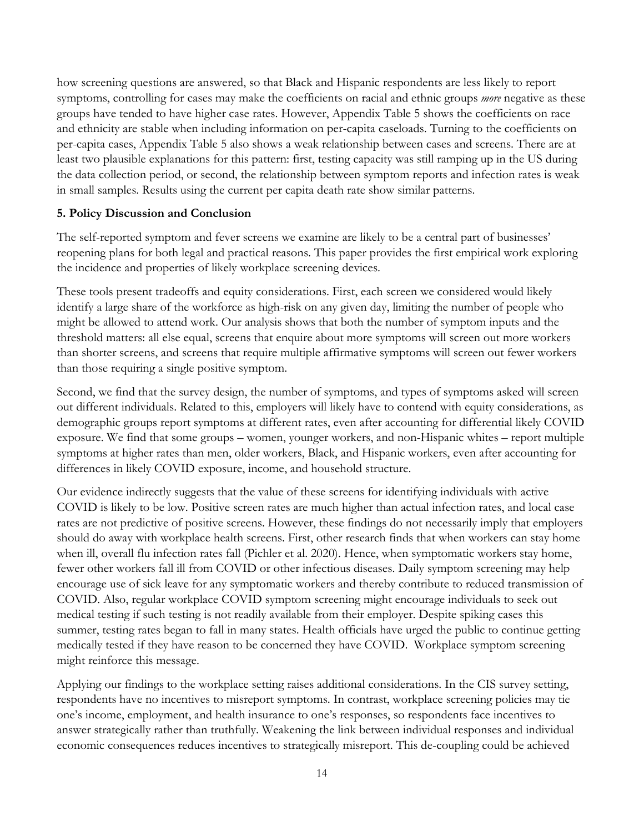how screening questions are answered, so that Black and Hispanic respondents are less likely to report symptoms, controlling for cases may make the coefficients on racial and ethnic groups *more* negative as these groups have tended to have higher case rates. However, Appendix Table 5 shows the coefficients on race and ethnicity are stable when including information on per-capita caseloads. Turning to the coefficients on per-capita cases, Appendix Table 5 also shows a weak relationship between cases and screens. There are at least two plausible explanations for this pattern: first, testing capacity was still ramping up in the US during the data collection period, or second, the relationship between symptom reports and infection rates is weak in small samples. Results using the current per capita death rate show similar patterns.

# **5. Policy Discussion and Conclusion**

The self-reported symptom and fever screens we examine are likely to be a central part of businesses' reopening plans for both legal and practical reasons. This paper provides the first empirical work exploring the incidence and properties of likely workplace screening devices.

These tools present tradeoffs and equity considerations. First, each screen we considered would likely identify a large share of the workforce as high-risk on any given day, limiting the number of people who might be allowed to attend work. Our analysis shows that both the number of symptom inputs and the threshold matters: all else equal, screens that enquire about more symptoms will screen out more workers than shorter screens, and screens that require multiple affirmative symptoms will screen out fewer workers than those requiring a single positive symptom.

Second, we find that the survey design, the number of symptoms, and types of symptoms asked will screen out different individuals. Related to this, employers will likely have to contend with equity considerations, as demographic groups report symptoms at different rates, even after accounting for differential likely COVID exposure. We find that some groups – women, younger workers, and non-Hispanic whites – report multiple symptoms at higher rates than men, older workers, Black, and Hispanic workers, even after accounting for differences in likely COVID exposure, income, and household structure.

Our evidence indirectly suggests that the value of these screens for identifying individuals with active COVID is likely to be low. Positive screen rates are much higher than actual infection rates, and local case rates are not predictive of positive screens. However, these findings do not necessarily imply that employers should do away with workplace health screens. First, other research finds that when workers can stay home when ill, overall flu infection rates fall (Pichler et al. 2020). Hence, when symptomatic workers stay home, fewer other workers fall ill from COVID or other infectious diseases. Daily symptom screening may help encourage use of sick leave for any symptomatic workers and thereby contribute to reduced transmission of COVID. Also, regular workplace COVID symptom screening might encourage individuals to seek out medical testing if such testing is not readily available from their employer. Despite spiking cases this summer, testing rates began to fall in many states. Health officials have urged the public to continue getting medically tested if they have reason to be concerned they have COVID. Workplace symptom screening might reinforce this message.

Applying our findings to the workplace setting raises additional considerations. In the CIS survey setting, respondents have no incentives to misreport symptoms. In contrast, workplace screening policies may tie one's income, employment, and health insurance to one's responses, so respondents face incentives to answer strategically rather than truthfully. Weakening the link between individual responses and individual economic consequences reduces incentives to strategically misreport. This de-coupling could be achieved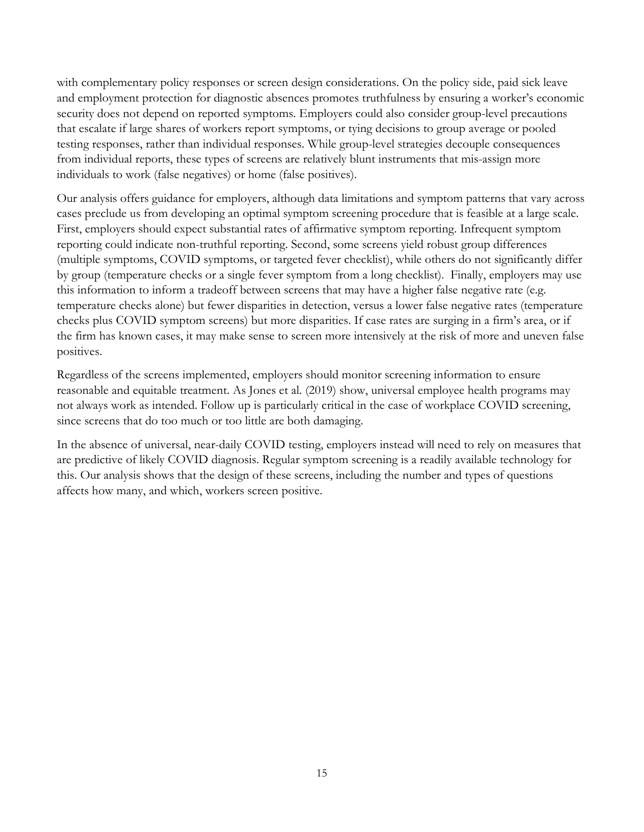with complementary policy responses or screen design considerations. On the policy side, paid sick leave and employment protection for diagnostic absences promotes truthfulness by ensuring a worker's economic security does not depend on reported symptoms. Employers could also consider group-level precautions that escalate if large shares of workers report symptoms, or tying decisions to group average or pooled testing responses, rather than individual responses. While group-level strategies decouple consequences from individual reports, these types of screens are relatively blunt instruments that mis-assign more individuals to work (false negatives) or home (false positives).

Our analysis offers guidance for employers, although data limitations and symptom patterns that vary across cases preclude us from developing an optimal symptom screening procedure that is feasible at a large scale. First, employers should expect substantial rates of affirmative symptom reporting. Infrequent symptom reporting could indicate non-truthful reporting. Second, some screens yield robust group differences (multiple symptoms, COVID symptoms, or targeted fever checklist), while others do not significantly differ by group (temperature checks or a single fever symptom from a long checklist). Finally, employers may use this information to inform a tradeoff between screens that may have a higher false negative rate (e.g. temperature checks alone) but fewer disparities in detection, versus a lower false negative rates (temperature checks plus COVID symptom screens) but more disparities. If case rates are surging in a firm's area, or if the firm has known cases, it may make sense to screen more intensively at the risk of more and uneven false positives.

Regardless of the screens implemented, employers should monitor screening information to ensure reasonable and equitable treatment. As Jones et al. (2019) show, universal employee health programs may not always work as intended. Follow up is particularly critical in the case of workplace COVID screening, since screens that do too much or too little are both damaging.

In the absence of universal, near-daily COVID testing, employers instead will need to rely on measures that are predictive of likely COVID diagnosis. Regular symptom screening is a readily available technology for this. Our analysis shows that the design of these screens, including the number and types of questions affects how many, and which, workers screen positive.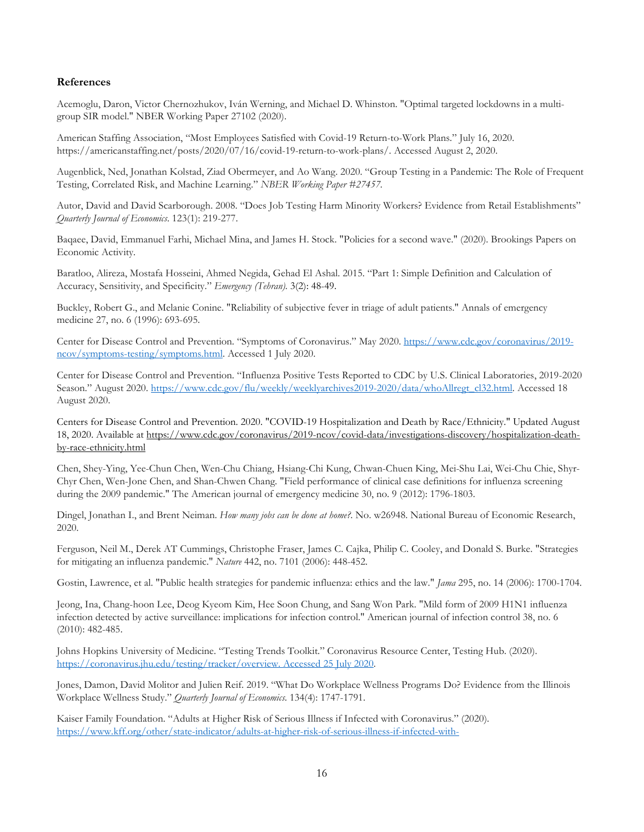#### **References**

Acemoglu, Daron, Victor Chernozhukov, Iván Werning, and Michael D. Whinston. "Optimal targeted lockdowns in a multigroup SIR model." NBER Working Paper 27102 (2020).

American Staffing Association, "Most Employees Satisfied with Covid-19 Return-to-Work Plans." July 16, 2020. [https://americanstaffing.net/posts/2020/07/16/covid-19-return-to-work-plans/.](https://americanstaffing.net/posts/2020/07/16/covid-19-return-to-work-plans/) Accessed August 2, 2020.

Augenblick, Ned, Jonathan Kolstad, Ziad Obermeyer, and Ao Wang. 2020. "Group Testing in a Pandemic: The Role of Frequent Testing, Correlated Risk, and Machine Learning." *NBER Working Paper #27457.*

Autor, David and David Scarborough. 2008. "Does Job Testing Harm Minority Workers? Evidence from Retail Establishments" *Quarterly Journal of Economics*. 123(1): 219-277.

Baqaee, David, Emmanuel Farhi, Michael Mina, and James H. Stock. "Policies for a second wave." (2020). Brookings Papers on Economic Activity.

Baratloo, Alireza, Mostafa Hosseini, Ahmed Negida, Gehad El Ashal. 2015. "Part 1: Simple Definition and Calculation of Accuracy, Sensitivity, and Specificity." *Emergency (Tehran).* 3(2): 48-49.

Buckley, Robert G., and Melanie Conine. "Reliability of subjective fever in triage of adult patients." Annals of emergency medicine 27, no. 6 (1996): 693-695.

Center for Disease Control and Prevention. "Symptoms of Coronavirus." May 2020. [https://www.cdc.gov/coronavirus/2019](https://www.cdc.gov/coronavirus/2019-ncov/symptoms-testing/symptoms.html) [ncov/symptoms-testing/symptoms.html.](https://www.cdc.gov/coronavirus/2019-ncov/symptoms-testing/symptoms.html) Accessed 1 July 2020.

Center for Disease Control and Prevention. "Influenza Positive Tests Reported to CDC by U.S. Clinical Laboratories, 2019-2020 Season." August 2020. [https://www.cdc.gov/flu/weekly/weeklyarchives2019-2020/data/whoAllregt\\_cl32.html.](https://www.cdc.gov/flu/weekly/weeklyarchives2019-2020/data/whoAllregt_cl32.html) Accessed 18 August 2020.

Centers for Disease Control and Prevention. 2020. "COVID-19 Hospitalization and Death by Race/Ethnicity." Updated August 18, 2020. Available at [https://www.cdc.gov/coronavirus/2019-ncov/covid-data/investigations-discovery/hospitalization-death](https://www.cdc.gov/coronavirus/2019-ncov/covid-data/investigations-discovery/hospitalization-death-by-race-ethnicity.html)[by-race-ethnicity.html](https://www.cdc.gov/coronavirus/2019-ncov/covid-data/investigations-discovery/hospitalization-death-by-race-ethnicity.html) 

Chen, Shey-Ying, Yee-Chun Chen, Wen-Chu Chiang, Hsiang-Chi Kung, Chwan-Chuen King, Mei-Shu Lai, Wei-Chu Chie, Shyr-Chyr Chen, Wen-Jone Chen, and Shan-Chwen Chang. "Field performance of clinical case definitions for influenza screening during the 2009 pandemic." The American journal of emergency medicine 30, no. 9 (2012): 1796-1803.

Dingel, Jonathan I., and Brent Neiman. *How many jobs can be done at home?*. No. w26948. National Bureau of Economic Research, 2020.

Ferguson, Neil M., Derek AT Cummings, Christophe Fraser, James C. Cajka, Philip C. Cooley, and Donald S. Burke. "Strategies for mitigating an influenza pandemic." *Nature* 442, no. 7101 (2006): 448-452.

Gostin, Lawrence, et al. "Public health strategies for pandemic influenza: ethics and the law." *Jama* 295, no. 14 (2006): 1700-1704.

Jeong, Ina, Chang-hoon Lee, Deog Kyeom Kim, Hee Soon Chung, and Sang Won Park. "Mild form of 2009 H1N1 influenza infection detected by active surveillance: implications for infection control." American journal of infection control 38, no. 6 (2010): 482-485.

Johns Hopkins University of Medicine. "Testing Trends Toolkit." Coronavirus Resource Center, Testing Hub. (2020). [https://coronavirus.jhu.edu/testing/tracker/overview. Accessed 25 July 2020.](https://coronavirus.jhu.edu/testing/tracker/overview.%20Accessed%2025%20July%202020) 

Jones, Damon, David Molitor and Julien Reif. 2019. "What Do Workplace Wellness Programs Do? Evidence from the Illinois Workplace Wellness Study." *Quarterly Journal of Economics*. 134(4): 1747-1791.

Kaiser Family Foundation. "Adults at Higher Risk of Serious Illness if Infected with Coronavirus." (2020). [https://www.kff.org/other/state-indicator/adults-at-higher-risk-of-serious-illness-if-infected-with-](https://www.kff.org/other/state-indicator/adults-at-higher-risk-of-serious-illness-if-infected-with-coronavirus/?currentTimeframe=0&sortModel=%7B%22colId%22:%22Location%22,%22sort%22:%22asc%22%7D)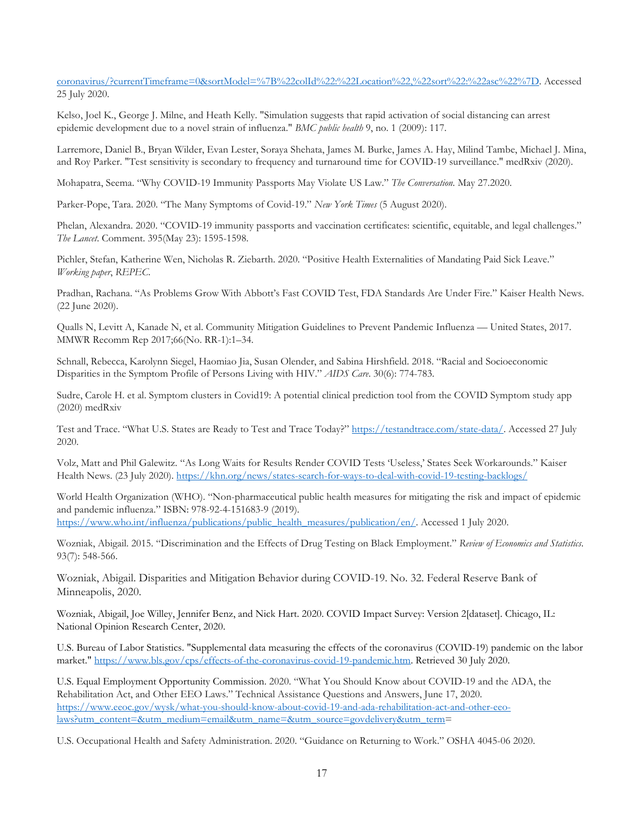[coronavirus/?currentTimeframe=0&sortModel=%7B%22colId%22:%22Location%22,%22sort%22:%22asc%22%7D.](https://www.kff.org/other/state-indicator/adults-at-higher-risk-of-serious-illness-if-infected-with-coronavirus/?currentTimeframe=0&sortModel=%7B%22colId%22:%22Location%22,%22sort%22:%22asc%22%7D) Accessed 25 July 2020.

Kelso, Joel K., George J. Milne, and Heath Kelly. "Simulation suggests that rapid activation of social distancing can arrest epidemic development due to a novel strain of influenza." *BMC public health* 9, no. 1 (2009): 117.

Larremore, Daniel B., Bryan Wilder, Evan Lester, Soraya Shehata, James M. Burke, James A. Hay, Milind Tambe, Michael J. Mina, and Roy Parker. "Test sensitivity is secondary to frequency and turnaround time for COVID-19 surveillance." medRxiv (2020).

Mohapatra, Seema. "Why COVID-19 Immunity Passports May Violate US Law." *The Conversation*. May 27.2020.

Parker-Pope, Tara. 2020. "The Many Symptoms of Covid-19." *New York Times* (5 August 2020).

Phelan, Alexandra. 2020. "COVID-19 immunity passports and vaccination certificates: scientific, equitable, and legal challenges." *The Lancet*. Comment. 395(May 23): 1595-1598.

Pichler, Stefan, Katherine Wen, Nicholas R. Ziebarth. 2020. "Positive Health Externalities of Mandating Paid Sick Leave." *Working paper*, *REPEC.*

Pradhan, Rachana. "As Problems Grow With Abbott's Fast COVID Test, FDA Standards Are Under Fire." Kaiser Health News. (22 June 2020).

Qualls N, Levitt A, Kanade N, et al. Community Mitigation Guidelines to Prevent Pandemic Influenza — United States, 2017. MMWR Recomm Rep 2017;66(No. RR-1):1–34.

Schnall, Rebecca, Karolynn Siegel, Haomiao Jia, Susan Olender, and Sabina Hirshfield. 2018. "Racial and Socioeconomic Disparities in the Symptom Profile of Persons Living with HIV." *AIDS Care*. 30(6): 774-783.

Sudre, Carole H. et al. Symptom clusters in Covid19: A potential clinical prediction tool from the COVID Symptom study app (2020) medRxiv

Test and Trace. "What U.S. States are Ready to Test and Trace Today?[" https://testandtrace.com/state-data/.](https://testandtrace.com/state-data/) Accessed 27 July 2020.

Volz, Matt and Phil Galewitz. "As Long Waits for Results Render COVID Tests 'Useless,' States Seek Workarounds." Kaiser Health News. (23 July 2020).<https://khn.org/news/states-search-for-ways-to-deal-with-covid-19-testing-backlogs/>

World Health Organization (WHO). "Non-pharmaceutical public health measures for mitigating the risk and impact of epidemic and pandemic influenza." ISBN: 978-92-4-151683-9 (2019). [https://www.who.int/influenza/publications/public\\_health\\_measures/publication/en/.](https://www.who.int/influenza/publications/public_health_measures/publication/en/) Accessed 1 July 2020.

Wozniak, Abigail. 2015. "Discrimination and the Effects of Drug Testing on Black Employment." *Review of Economics and Statistics*. 93(7): 548-566.

Wozniak, Abigail. Disparities and Mitigation Behavior during COVID-19. No. 32. Federal Reserve Bank of Minneapolis, 2020.

Wozniak, Abigail, Joe Willey, Jennifer Benz, and Nick Hart. 2020. COVID Impact Survey: Version 2[dataset]. Chicago, IL: National Opinion Research Center, 2020.

U.S. Bureau of Labor Statistics. "Supplemental data measuring the effects of the coronavirus (COVID-19) pandemic on the labor market.[" https://www.bls.gov/cps/effects-of-the-coronavirus-covid-19-pandemic.htm.](https://www.bls.gov/cps/effects-of-the-coronavirus-covid-19-pandemic.htm) Retrieved 30 July 2020.

U.S. Equal Employment Opportunity Commission. 2020. "What You Should Know about COVID-19 and the ADA, the Rehabilitation Act, and Other EEO Laws." Technical Assistance Questions and Answers, June 17, 2020. [https://www.eeoc.gov/wysk/what-you-should-know-about-covid-19-and-ada-rehabilitation-act-and-other-eeo](https://www.eeoc.gov/wysk/what-you-should-know-about-covid-19-and-ada-rehabilitation-act-and-other-eeo-laws?utm_content=&utm_medium=email&utm_name=&utm_source=govdelivery&utm_term)[laws?utm\\_content=&utm\\_medium=email&utm\\_name=&utm\\_source=govdelivery&utm\\_term=](https://www.eeoc.gov/wysk/what-you-should-know-about-covid-19-and-ada-rehabilitation-act-and-other-eeo-laws?utm_content=&utm_medium=email&utm_name=&utm_source=govdelivery&utm_term)

U.S. Occupational Health and Safety Administration. 2020. "Guidance on Returning to Work." OSHA 4045-06 2020.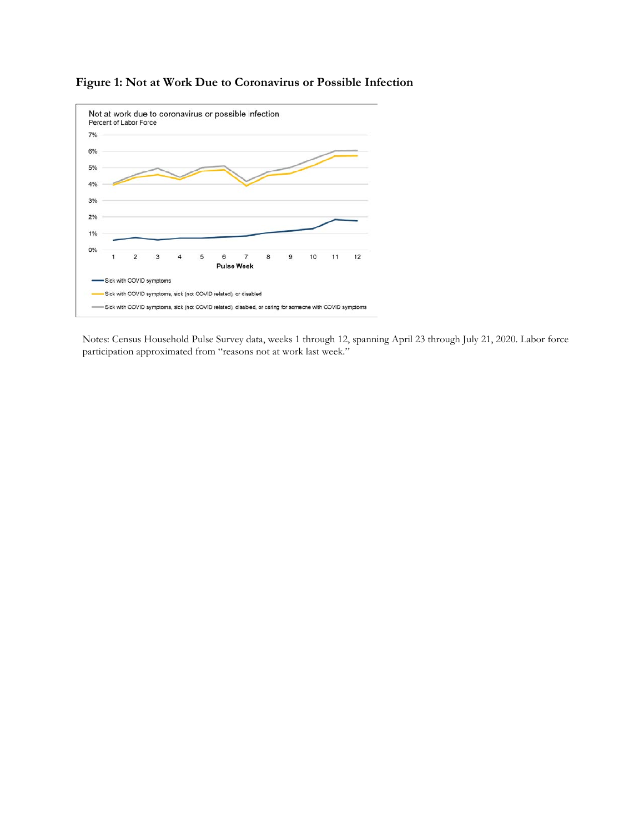

# **Figure 1: Not at Work Due to Coronavirus or Possible Infection**

Notes: Census Household Pulse Survey data, weeks 1 through 12, spanning April 23 through July 21, 2020. Labor force participation approximated from "reasons not at work last week."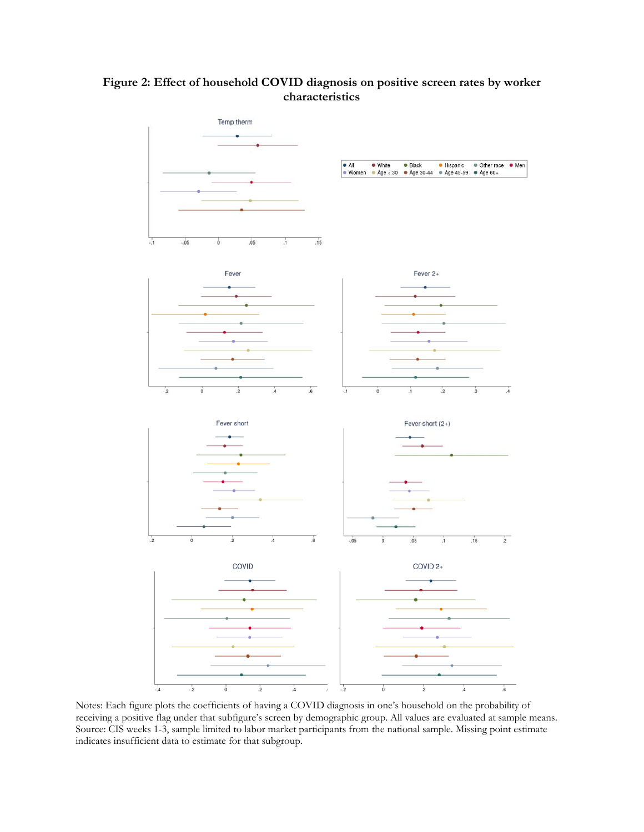### **Figure 2: Effect of household COVID diagnosis on positive screen rates by worker characteristics**



Notes: Each figure plots the coefficients of having a COVID diagnosis in one's household on the probability of receiving a positive flag under that subfigure's screen by demographic group. All values are evaluated at sample means. Source: CIS weeks 1-3, sample limited to labor market participants from the national sample. Missing point estimate indicates insufficient data to estimate for that subgroup.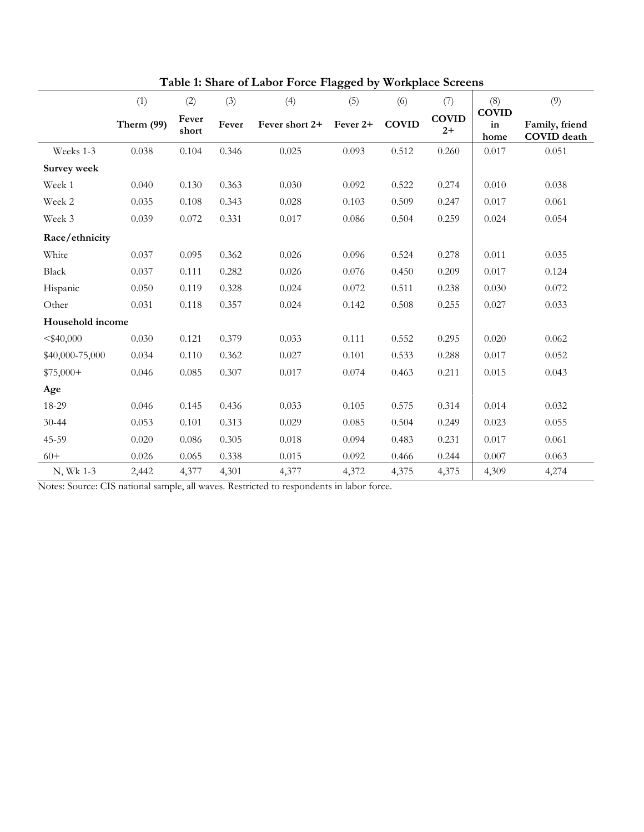|                    | (1)          | (2)            | (3)   | (4)            | (5)      | (6)   | (7)                                  | (8)<br><b>COVID</b> | (9)                                  |
|--------------------|--------------|----------------|-------|----------------|----------|-------|--------------------------------------|---------------------|--------------------------------------|
|                    | Therm $(99)$ | Fever<br>short | Fever | Fever short 2+ | Fever 2+ |       | <b>COVID</b><br><b>COVID</b><br>$2+$ |                     | Family, friend<br><b>COVID</b> death |
| Weeks 1-3          | 0.038        | 0.104          | 0.346 | 0.025          | 0.093    | 0.512 | 0.260                                | 0.017               | 0.051                                |
| <b>Survey week</b> |              |                |       |                |          |       |                                      |                     |                                      |
| Week 1             | 0.040        | 0.130          | 0.363 | 0.030          | 0.092    | 0.522 | 0.274                                | 0.010               | 0.038                                |
| Week 2             | 0.035        | 0.108          | 0.343 | 0.028          | 0.103    | 0.509 | 0.247                                | 0.017               | 0.061                                |
| Week 3             | 0.039        | 0.072          | 0.331 | 0.017          | 0.086    | 0.504 | 0.259                                | 0.024               | 0.054                                |
| Race/ethnicity     |              |                |       |                |          |       |                                      |                     |                                      |
| White              | 0.037        | 0.095          | 0.362 | 0.026          | 0.096    | 0.524 | 0.278                                | 0.011               | 0.035                                |
| Black              | 0.037        | 0.111          | 0.282 | 0.026          | 0.076    | 0.450 | 0.209                                | 0.017               | 0.124                                |
| Hispanic           | 0.050        | 0.119          | 0.328 | 0.024          | 0.072    | 0.511 | 0.238                                | 0.030               | 0.072                                |
| Other              | 0.031        | 0.118          | 0.357 | 0.024          | 0.142    | 0.508 | 0.255                                | 0.027               | 0.033                                |
| Household income   |              |                |       |                |          |       |                                      |                     |                                      |
| $<$ \$40,000       | 0.030        | 0.121          | 0.379 | 0.033          | 0.111    | 0.552 | 0.295                                | 0.020               | 0.062                                |
| \$40,000-75,000    | 0.034        | 0.110          | 0.362 | 0.027          | 0.101    | 0.533 | 0.288                                | 0.017               | 0.052                                |
| $$75,000+$         | 0.046        | 0.085          | 0.307 | 0.017          | 0.074    | 0.463 | 0.211                                | 0.015               | 0.043                                |
| Age                |              |                |       |                |          |       |                                      |                     |                                      |
| 18-29              | 0.046        | 0.145          | 0.436 | 0.033          | 0.105    | 0.575 | 0.314                                | 0.014               | 0.032                                |
| $30 - 44$          | 0.053        | 0.101          | 0.313 | 0.029          | 0.085    | 0.504 | 0.249                                | 0.023               | 0.055                                |
| 45-59              | 0.020        | 0.086          | 0.305 | 0.018          | 0.094    | 0.483 | 0.231                                | 0.017               | 0.061                                |
| $60+$              | 0.026        | 0.065          | 0.338 | 0.015          | 0.092    | 0.466 | 0.244                                | 0.007               | 0.063                                |
| N, Wk 1-3          | 2,442        | 4,377          | 4,301 | 4,377          | 4,372    | 4,375 | 4,375                                | 4,309               | 4,274                                |

**Table 1: Share of Labor Force Flagged by Workplace Screens**

Notes: Source: CIS national sample, all waves. Restricted to respondents in labor force.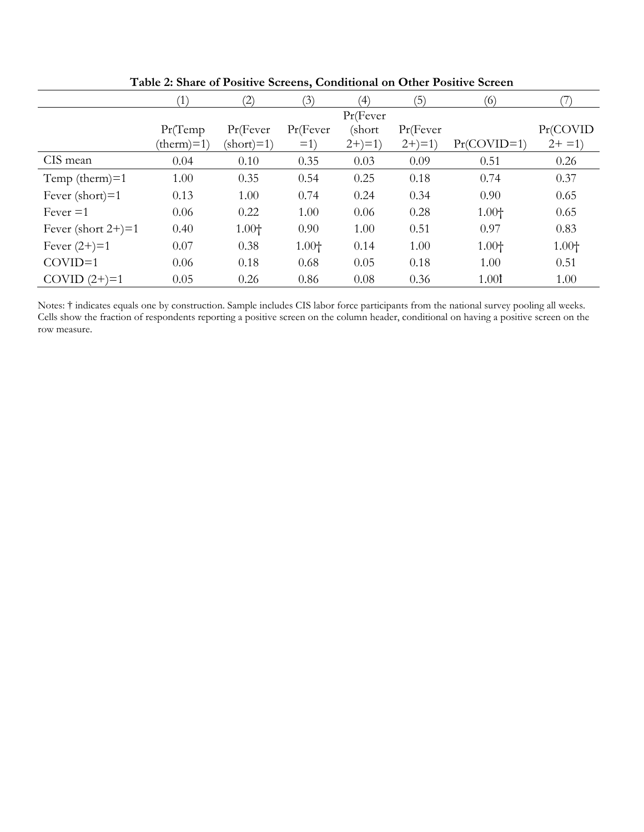|                          | $\left(1\right)$ | (2)                 | (3)      | (4)        | (5)        | (6)               |          |
|--------------------------|------------------|---------------------|----------|------------|------------|-------------------|----------|
|                          |                  |                     |          | Pr(Fever)  |            |                   |          |
|                          | Pr(Temp)         | Pr(Fever            | Pr(Fever | (short     | Pr(Fever   |                   | Pr(COVID |
|                          | $(therm)=1)$     | $(\text{short})=1)$ | $=1)$    | $2+) = 1)$ | $2+) = 1)$ | $Pr(COVID=1)$     | $2+ = 1$ |
| CIS mean                 | 0.04             | 0.10                | 0.35     | 0.03       | 0.09       | 0.51              | 0.26     |
| Temp (therm) $=1$        | 1.00             | 0.35                | 0.54     | 0.25       | 0.18       | 0.74              | 0.37     |
| Fever $(\text{short})=1$ | 0.13             | 1.00                | 0.74     | 0.24       | 0.34       | 0.90              | 0.65     |
| $Fever = 1$              | 0.06             | 0.22                | 1.00     | 0.06       | 0.28       | $1.00+$           | 0.65     |
| Fever (short $2+$ )=1    | 0.40             | $1.00+$             | 0.90     | 1.00       | 0.51       | 0.97              | 0.83     |
| Fever $(2+) = 1$         | 0.07             | 0.38                | $1.00+$  | 0.14       | 1.00       | $1.00+$           | $1.00+$  |
| $COVID=1$                | 0.06             | 0.18                | 0.68     | 0.05       | 0.18       | 1.00              | 0.51     |
| $COVID(2+) = 1$          | 0.05             | 0.26                | 0.86     | 0.08       | 0.36       | 1.00 <sup>t</sup> | 1.00     |

**Table 2: Share of Positive Screens, Conditional on Other Positive Screen**

Notes: † indicates equals one by construction. Sample includes CIS labor force participants from the national survey pooling all weeks. Cells show the fraction of respondents reporting a positive screen on the column header, conditional on having a positive screen on the row measure.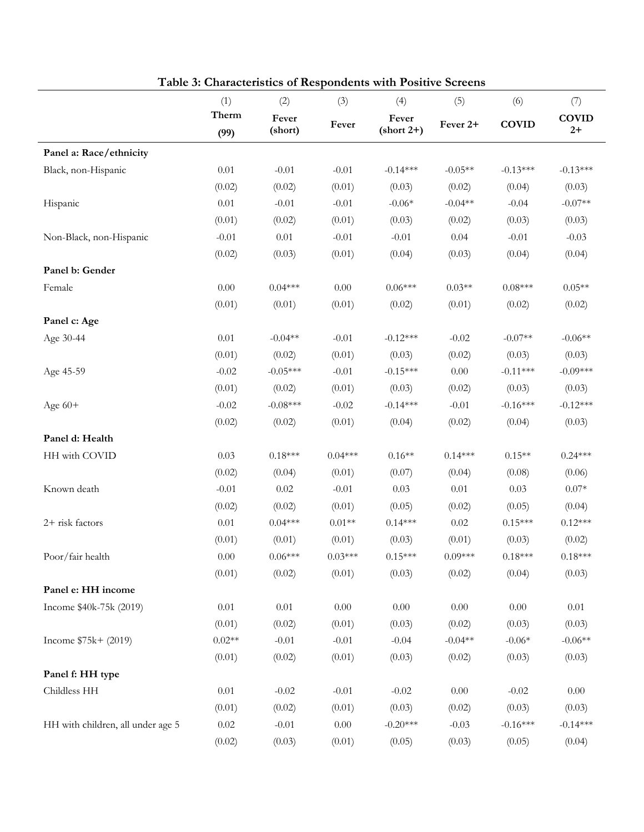|                                   | (1)           | (2)              | (3)       | (4)                   | (5)       | (6)          | (7)<br><b>COVID</b><br>$2+$ |
|-----------------------------------|---------------|------------------|-----------|-----------------------|-----------|--------------|-----------------------------|
|                                   | Therm<br>(99) | Fever<br>(short) | Fever     | Fever<br>$(short 2+)$ | Fever 2+  | <b>COVID</b> |                             |
| Panel a: Race/ethnicity           |               |                  |           |                       |           |              |                             |
| Black, non-Hispanic               | 0.01          | $-0.01$          | $-0.01$   | $-0.14***$            | $-0.05**$ | $-0.13***$   | $-0.13***$                  |
|                                   | (0.02)        | (0.02)           | (0.01)    | (0.03)                | (0.02)    | (0.04)       | (0.03)                      |
| Hispanic                          | 0.01          | $-0.01$          | $-0.01$   | $-0.06*$              | $-0.04**$ | $-0.04$      | $-0.07**$                   |
|                                   | (0.01)        | (0.02)           | (0.01)    | (0.03)                | (0.02)    | (0.03)       | (0.03)                      |
| Non-Black, non-Hispanic           | $-0.01$       | 0.01             | $-0.01$   | $-0.01$               | 0.04      | $-0.01$      | $-0.03$                     |
|                                   | (0.02)        | (0.03)           | (0.01)    | (0.04)                | (0.03)    | (0.04)       | (0.04)                      |
| Panel b: Gender                   |               |                  |           |                       |           |              |                             |
| Female                            | $0.00\,$      | $0.04***$        | $0.00\,$  | $0.06***$             | $0.03**$  | $0.08***$    | $0.05**$                    |
|                                   | (0.01)        | (0.01)           | (0.01)    | (0.02)                | (0.01)    | (0.02)       | (0.02)                      |
| Panel c: Age                      |               |                  |           |                       |           |              |                             |
| Age 30-44                         | 0.01          | $-0.04**$        | $-0.01$   | $-0.12***$            | $-0.02$   | $-0.07**$    | $-0.06**$                   |
|                                   | (0.01)        | (0.02)           | (0.01)    | (0.03)                | (0.02)    | (0.03)       | (0.03)                      |
| Age 45-59                         | $-0.02$       | $-0.05***$       | $-0.01$   | $-0.15***$            | $0.00\,$  | $-0.11***$   | $-0.09***$                  |
|                                   | (0.01)        | (0.02)           | (0.01)    | (0.03)                | (0.02)    | (0.03)       | (0.03)                      |
| Age $60+$                         | $-0.02$       | $-0.08$ ***      | $-0.02$   | $-0.14***$            | $-0.01$   | $-0.16***$   | $-0.12***$                  |
|                                   | (0.02)        | (0.02)           | (0.01)    | (0.04)                | (0.02)    | (0.04)       | (0.03)                      |
| Panel d: Health                   |               |                  |           |                       |           |              |                             |
| HH with COVID                     | 0.03          | $0.18***$        | $0.04***$ | $0.16**$              | $0.14***$ | $0.15**$     | $0.24***$                   |
|                                   | (0.02)        | (0.04)           | (0.01)    | (0.07)                | (0.04)    | (0.08)       | (0.06)                      |
| Known death                       | $-0.01$       | 0.02             | $-0.01$   | 0.03                  | $0.01\,$  | 0.03         | $0.07*$                     |
|                                   | (0.02)        | (0.02)           | (0.01)    | (0.05)                | (0.02)    | (0.05)       | (0.04)                      |
| 2+ risk factors                   | 0.01          | $0.04***$        | $0.01**$  | $0.14***$             | 0.02      | $0.15***$    | $0.12***$                   |
|                                   | (0.01)        | (0.01)           | (0.01)    | (0.03)                | (0.01)    | (0.03)       | (0.02)                      |
| Poor/fair health                  | $0.00\,$      | $0.06***$        | $0.03***$ | $0.15***$             | $0.09***$ | $0.18***$    | $0.18***$                   |
|                                   | (0.01)        | (0.02)           | (0.01)    | (0.03)                | (0.02)    | (0.04)       | (0.03)                      |
| Panel e: HH income                |               |                  |           |                       |           |              |                             |
| Income \$40k-75k (2019)           | $0.01\,$      | 0.01             | $0.00\,$  | $0.00\,$              | $0.00\,$  | $0.00\,$     | $0.01\,$                    |
|                                   | (0.01)        | (0.02)           | (0.01)    | (0.03)                | (0.02)    | (0.03)       | (0.03)                      |
| Income $$75k + (2019)$            | $0.02**$      | $-0.01$          | $-0.01$   | $-0.04$               | $-0.04**$ | $-0.06*$     | $-0.06**$                   |
|                                   | (0.01)        | (0.02)           | (0.01)    | (0.03)                | (0.02)    | (0.03)       | (0.03)                      |
| Panel f: HH type                  |               |                  |           |                       |           |              |                             |
| Childless HH                      | $0.01\,$      | $-0.02$          | $-0.01$   | $-0.02$               | $0.00\,$  | $-0.02$      | 0.00                        |
|                                   | (0.01)        | (0.02)           | (0.01)    | (0.03)                | (0.02)    | (0.03)       | (0.03)                      |
| HH with children, all under age 5 | $0.02\,$      | $-0.01$          | $0.00\,$  | $-0.20***$            | $-0.03$   | $-0.16***$   | $-0.14***$                  |
|                                   | (0.02)        | (0.03)           | (0.01)    | (0.05)                | (0.03)    | (0.05)       | (0.04)                      |

**Table 3: Characteristics of Respondents with Positive Screens**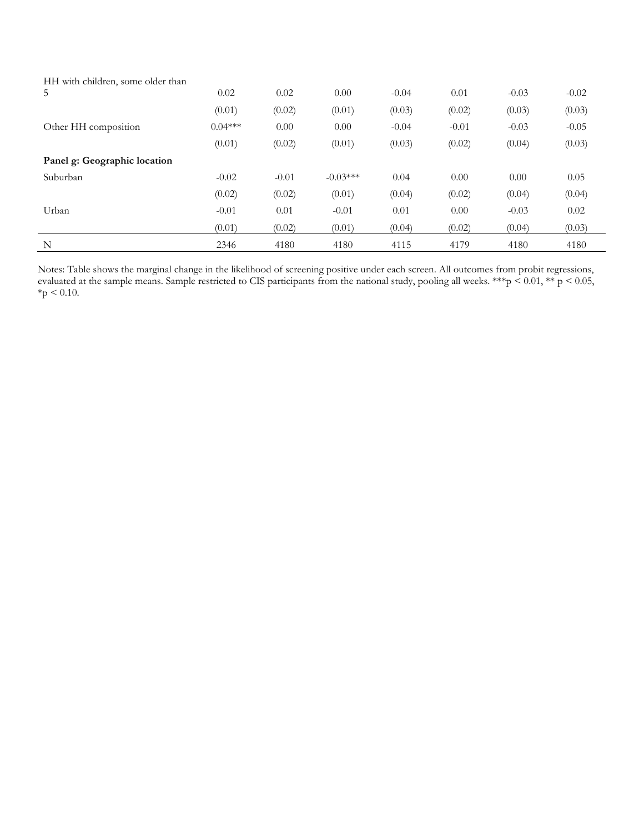| HH with children, some older than |           |         |            |         |         |         |         |
|-----------------------------------|-----------|---------|------------|---------|---------|---------|---------|
| 5                                 | 0.02      | 0.02    | 0.00       | $-0.04$ | 0.01    | $-0.03$ | $-0.02$ |
|                                   | (0.01)    | (0.02)  | (0.01)     | (0.03)  | (0.02)  | (0.03)  | (0.03)  |
| Other HH composition              | $0.04***$ | 0.00    | 0.00       | $-0.04$ | $-0.01$ | $-0.03$ | $-0.05$ |
|                                   | (0.01)    | (0.02)  | (0.01)     | (0.03)  | (0.02)  | (0.04)  | (0.03)  |
| Panel g: Geographic location      |           |         |            |         |         |         |         |
| Suburban                          | $-0.02$   | $-0.01$ | $-0.03***$ | 0.04    | 0.00    | 0.00    | 0.05    |
|                                   | (0.02)    | (0.02)  | (0.01)     | (0.04)  | (0.02)  | (0.04)  | (0.04)  |
| Urban                             | $-0.01$   | 0.01    | $-0.01$    | 0.01    | 0.00    | $-0.03$ | 0.02    |
|                                   | (0.01)    | (0.02)  | (0.01)     | (0.04)  | (0.02)  | (0.04)  | (0.03)  |
| $\mathbf N$                       | 2346      | 4180    | 4180       | 4115    | 4179    | 4180    | 4180    |

Notes: Table shows the marginal change in the likelihood of screening positive under each screen. All outcomes from probit regressions, evaluated at the sample means. Sample restricted to CIS participants from the national study, pooling all weeks. \*\*\*p < 0.01, \*\* p < 0.05,  $*$ p < 0.10.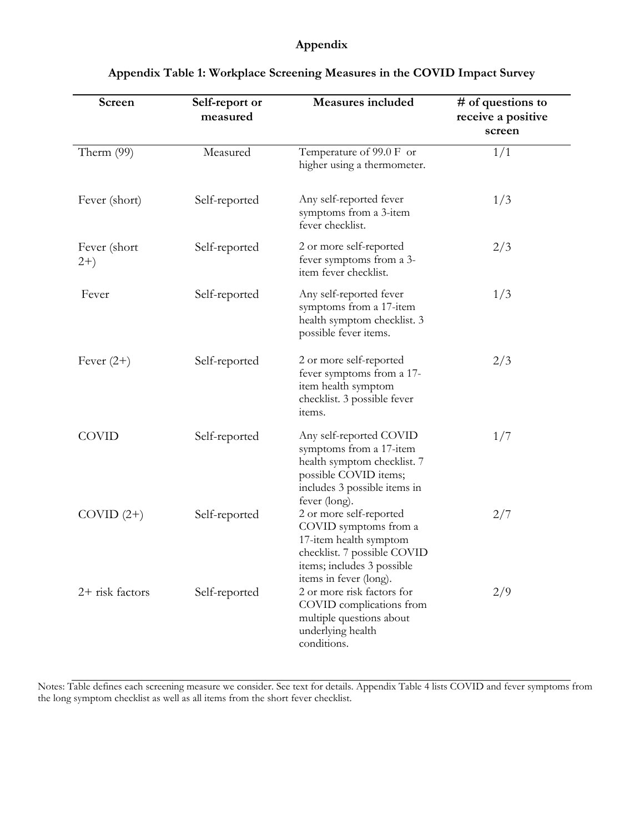# **Appendix**

| Screen                | Self-report or<br>measured | Measures included                                                                                                                                                 | # of questions to<br>receive a positive<br>screen |
|-----------------------|----------------------------|-------------------------------------------------------------------------------------------------------------------------------------------------------------------|---------------------------------------------------|
| Therm (99)            | Measured                   | Temperature of 99.0 F or<br>higher using a thermometer.                                                                                                           | 1/1                                               |
| Fever (short)         | Self-reported              | Any self-reported fever<br>symptoms from a 3-item<br>fever checklist.                                                                                             | 1/3                                               |
| Fever (short<br>$2+)$ | Self-reported              | 2 or more self-reported<br>fever symptoms from a 3-<br>item fever checklist.                                                                                      | 2/3                                               |
| Fever                 | Self-reported              | Any self-reported fever<br>symptoms from a 17-item<br>health symptom checklist. 3<br>possible fever items.                                                        | 1/3                                               |
| Fever $(2+)$          | Self-reported              | 2 or more self-reported<br>fever symptoms from a 17-<br>item health symptom<br>checklist. 3 possible fever<br>items.                                              | 2/3                                               |
| <b>COVID</b>          | Self-reported              | Any self-reported COVID<br>symptoms from a 17-item<br>health symptom checklist. 7<br>possible COVID items;<br>includes 3 possible items in<br>fever (long).       | 1/7                                               |
| $COVID(2+)$           | Self-reported              | 2 or more self-reported<br>COVID symptoms from a<br>17-item health symptom<br>checklist. 7 possible COVID<br>items; includes 3 possible<br>items in fever (long). | 2/7                                               |
| $2+$ risk factors     | Self-reported              | 2 or more risk factors for<br>COVID complications from<br>multiple questions about<br>underlying health<br>conditions.                                            | 2/9                                               |

# **Appendix Table 1: Workplace Screening Measures in the COVID Impact Survey**

Notes: Table defines each screening measure we consider. See text for details. Appendix Table 4 lists COVID and fever symptoms from the long symptom checklist as well as all items from the short fever checklist.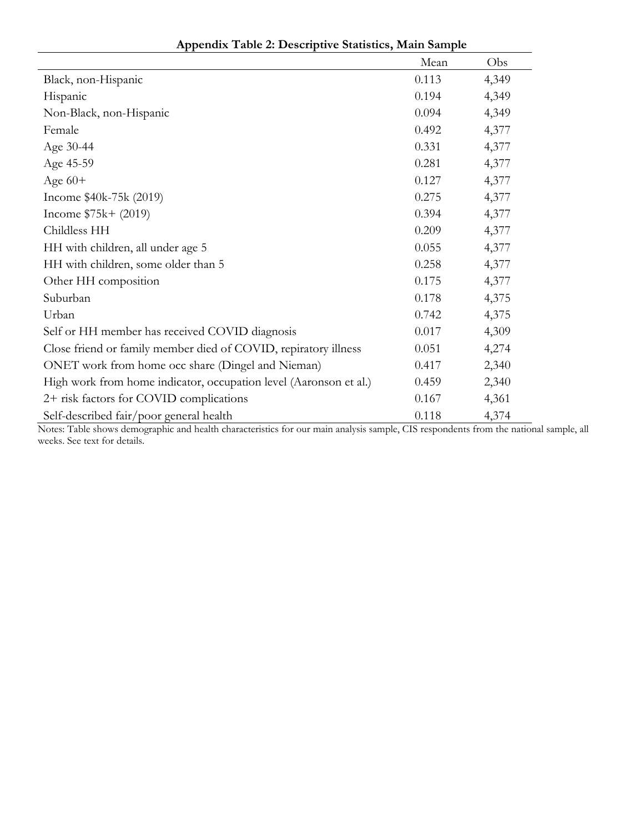|                                                                   | Mean  | Obs   |
|-------------------------------------------------------------------|-------|-------|
| Black, non-Hispanic                                               | 0.113 | 4,349 |
| Hispanic                                                          | 0.194 | 4,349 |
| Non-Black, non-Hispanic                                           | 0.094 | 4,349 |
| Female                                                            | 0.492 | 4,377 |
| Age 30-44                                                         | 0.331 | 4,377 |
| Age 45-59                                                         | 0.281 | 4,377 |
| Age $60+$                                                         | 0.127 | 4,377 |
| Income \$40k-75k (2019)                                           | 0.275 | 4,377 |
| Income $$75k + (2019)$                                            | 0.394 | 4,377 |
| Childless HH                                                      | 0.209 | 4,377 |
| HH with children, all under age 5                                 | 0.055 | 4,377 |
| HH with children, some older than 5                               | 0.258 | 4,377 |
| Other HH composition                                              | 0.175 | 4,377 |
| Suburban                                                          | 0.178 | 4,375 |
| Urban                                                             | 0.742 | 4,375 |
| Self or HH member has received COVID diagnosis                    | 0.017 | 4,309 |
| Close friend or family member died of COVID, repiratory illness   | 0.051 | 4,274 |
| ONET work from home occ share (Dingel and Nieman)                 | 0.417 | 2,340 |
| High work from home indicator, occupation level (Aaronson et al.) | 0.459 | 2,340 |
| 2+ risk factors for COVID complications                           | 0.167 | 4,361 |
| Self-described fair/poor general health                           | 0.118 | 4,374 |

**Appendix Table 2: Descriptive Statistics, Main Sample**

Notes: Table shows demographic and health characteristics for our main analysis sample, CIS respondents from the national sample, all weeks. See text for details.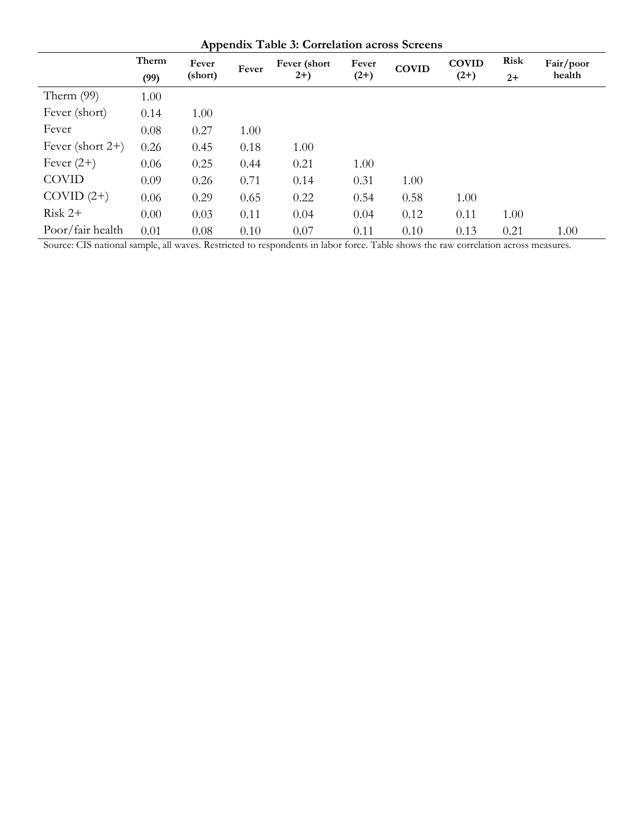| <b>Appendix Table 3: Correlation across Screens</b> |       |         |       |               |        |              |              |             |           |  |
|-----------------------------------------------------|-------|---------|-------|---------------|--------|--------------|--------------|-------------|-----------|--|
|                                                     | Therm | Fever   | Fever | Fever (short) | Fever  | <b>COVID</b> | <b>COVID</b> | <b>Risk</b> | Fair/poor |  |
|                                                     | (99)  | (short) |       | $2+)$         | $(2+)$ |              | $(2+)$       | $2+$        | health    |  |
| Therm $(99)$                                        | 1.00  |         |       |               |        |              |              |             |           |  |
| Fever (short)                                       | 0.14  | 1.00    |       |               |        |              |              |             |           |  |
| Fever                                               | 0.08  | 0.27    | 1.00  |               |        |              |              |             |           |  |
| Fever (short $2+$ )                                 | 0.26  | 0.45    | 0.18  | 1.00          |        |              |              |             |           |  |
| Fever $(2+)$                                        | 0.06  | 0.25    | 0.44  | 0.21          | 1.00   |              |              |             |           |  |
| <b>COVID</b>                                        | 0.09  | 0.26    | 0.71  | 0.14          | 0.31   | 1.00         |              |             |           |  |
| $COVID(2+)$                                         | 0.06  | 0.29    | 0.65  | 0.22          | 0.54   | 0.58         | 1.00         |             |           |  |
| $Risk 2+$                                           | 0.00  | 0.03    | 0.11  | 0.04          | 0.04   | 0.12         | 0.11         | 1.00        |           |  |
| Poor/fair health                                    | 0.01  | 0.08    | 0.10  | 0.07          | 0.11   | 0.10         | 0.13         | 0.21        | 1.00      |  |

Source: CIS national sample, all waves. Restricted to respondents in labor force. Table shows the raw correlation across measures.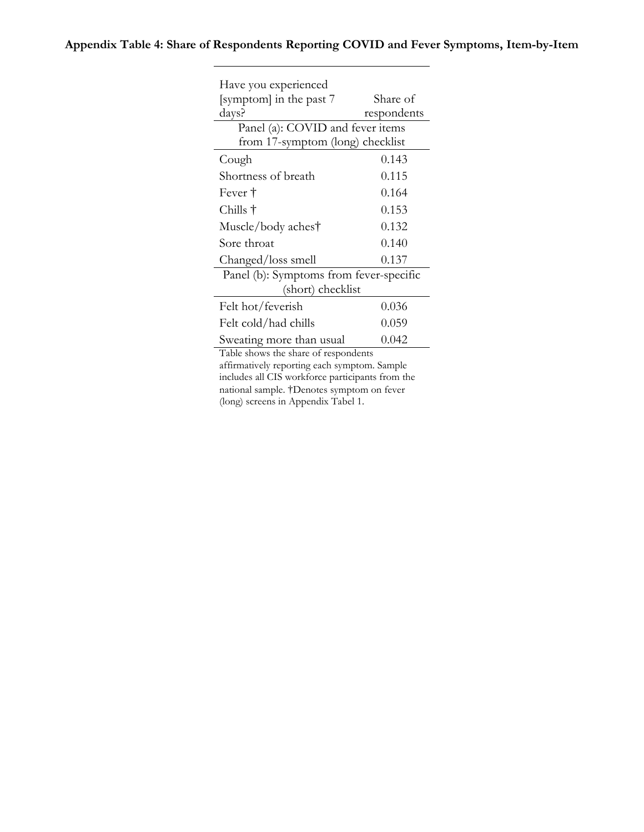# **Appendix Table 4: Share of Respondents Reporting COVID and Fever Symptoms, Item-by-Item**

| Have you experienced                    |             |  |  |  |  |  |
|-----------------------------------------|-------------|--|--|--|--|--|
| [symptom] in the past 7                 | Share of    |  |  |  |  |  |
| days?                                   | respondents |  |  |  |  |  |
| Panel (a): COVID and fever items        |             |  |  |  |  |  |
| from 17-symptom (long) checklist        |             |  |  |  |  |  |
| Cough                                   | 0.143       |  |  |  |  |  |
| Shortness of breath                     | 0.115       |  |  |  |  |  |
| Fever †                                 | 0.164       |  |  |  |  |  |
| Chills †                                | 0.153       |  |  |  |  |  |
| Muscle/body aches†                      | 0.132       |  |  |  |  |  |
| Sore throat                             | 0.140       |  |  |  |  |  |
| Changed/loss smell                      | 0.137       |  |  |  |  |  |
| Panel (b): Symptoms from fever-specific |             |  |  |  |  |  |
| (short) checklist                       |             |  |  |  |  |  |
| Felt hot/feverish                       | 0.036       |  |  |  |  |  |
| Felt cold/had chills                    | 0.059       |  |  |  |  |  |
| Sweating more than usual                | 0.042       |  |  |  |  |  |
| Table shows the share of respondents    |             |  |  |  |  |  |

affirmatively reporting each symptom. Sample includes all CIS workforce participants from the national sample. †Denotes symptom on fever (long) screens in Appendix Tabel 1.